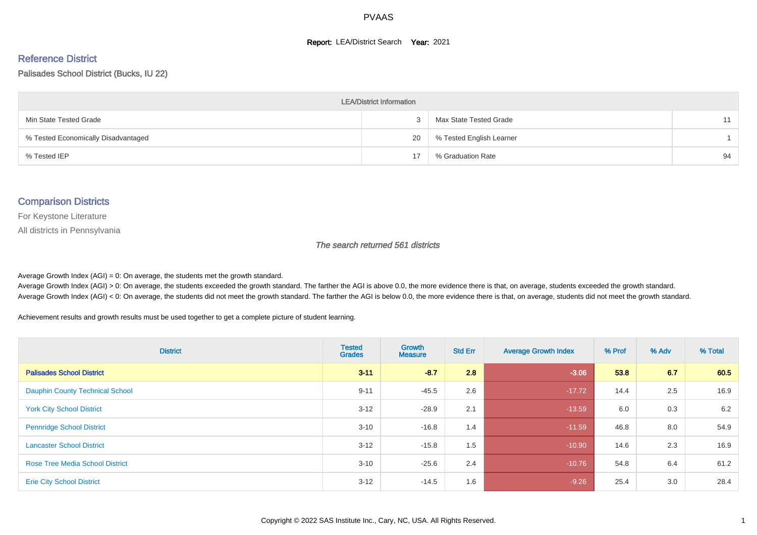#### **Report: LEA/District Search Year: 2021**

#### Reference District

#### Palisades School District (Bucks, IU 22)

| <b>LEA/District Information</b>     |    |                          |    |  |  |  |  |  |  |  |
|-------------------------------------|----|--------------------------|----|--|--|--|--|--|--|--|
| Min State Tested Grade              |    | Max State Tested Grade   | 11 |  |  |  |  |  |  |  |
| % Tested Economically Disadvantaged | 20 | % Tested English Learner |    |  |  |  |  |  |  |  |
| % Tested IEP                        | 17 | % Graduation Rate        | 94 |  |  |  |  |  |  |  |

#### Comparison Districts

For Keystone Literature

All districts in Pennsylvania

The search returned 561 districts

Average Growth Index  $(AGI) = 0$ : On average, the students met the growth standard.

Average Growth Index (AGI) > 0: On average, the students exceeded the growth standard. The farther the AGI is above 0.0, the more evidence there is that, on average, students exceeded the growth standard. Average Growth Index (AGI) < 0: On average, the students did not meet the growth standard. The farther the AGI is below 0.0, the more evidence there is that, on average, students did not meet the growth standard.

Achievement results and growth results must be used together to get a complete picture of student learning.

| <b>District</b>                        | <b>Tested</b><br><b>Grades</b> | Growth<br><b>Measure</b> | <b>Std Err</b> | <b>Average Growth Index</b> | % Prof | % Adv | % Total |
|----------------------------------------|--------------------------------|--------------------------|----------------|-----------------------------|--------|-------|---------|
| <b>Palisades School District</b>       | $3 - 11$                       | $-8.7$                   | 2.8            | $-3.06$                     | 53.8   | 6.7   | 60.5    |
| <b>Dauphin County Technical School</b> | $9 - 11$                       | $-45.5$                  | 2.6            | $-17.72$                    | 14.4   | 2.5   | 16.9    |
| <b>York City School District</b>       | $3 - 12$                       | $-28.9$                  | 2.1            | $-13.59$                    | 6.0    | 0.3   | 6.2     |
| <b>Pennridge School District</b>       | $3 - 10$                       | $-16.8$                  | 1.4            | $-11.59$                    | 46.8   | 8.0   | 54.9    |
| <b>Lancaster School District</b>       | $3 - 12$                       | $-15.8$                  | 1.5            | $-10.90$                    | 14.6   | 2.3   | 16.9    |
| <b>Rose Tree Media School District</b> | $3 - 10$                       | $-25.6$                  | 2.4            | $-10.76$                    | 54.8   | 6.4   | 61.2    |
| <b>Erie City School District</b>       | $3 - 12$                       | $-14.5$                  | 1.6            | $-9.26$                     | 25.4   | 3.0   | 28.4    |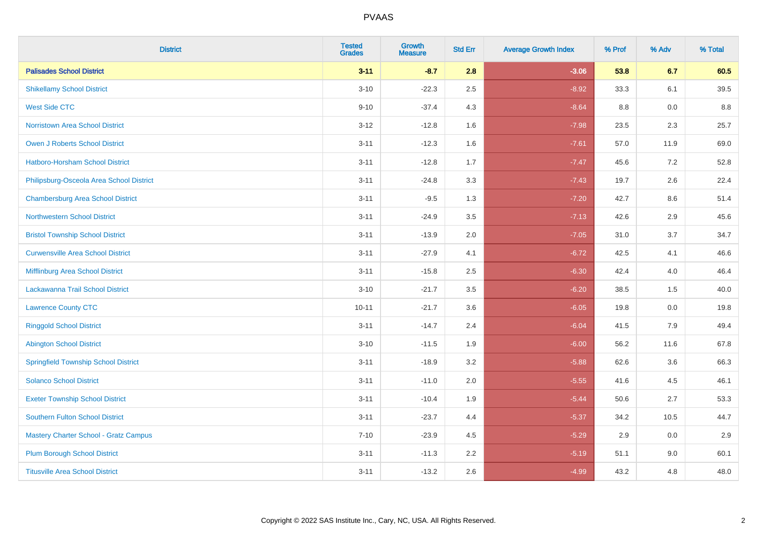| <b>District</b>                             | <b>Tested</b><br><b>Grades</b> | <b>Growth</b><br><b>Measure</b> | <b>Std Err</b> | <b>Average Growth Index</b> | % Prof | % Adv   | % Total |
|---------------------------------------------|--------------------------------|---------------------------------|----------------|-----------------------------|--------|---------|---------|
| <b>Palisades School District</b>            | $3 - 11$                       | $-8.7$                          | 2.8            | $-3.06$                     | 53.8   | 6.7     | 60.5    |
| <b>Shikellamy School District</b>           | $3 - 10$                       | $-22.3$                         | 2.5            | $-8.92$                     | 33.3   | 6.1     | 39.5    |
| <b>West Side CTC</b>                        | $9 - 10$                       | $-37.4$                         | 4.3            | $-8.64$                     | 8.8    | 0.0     | 8.8     |
| Norristown Area School District             | $3 - 12$                       | $-12.8$                         | 1.6            | $-7.98$                     | 23.5   | $2.3\,$ | 25.7    |
| <b>Owen J Roberts School District</b>       | $3 - 11$                       | $-12.3$                         | 1.6            | $-7.61$                     | 57.0   | 11.9    | 69.0    |
| <b>Hatboro-Horsham School District</b>      | $3 - 11$                       | $-12.8$                         | 1.7            | $-7.47$                     | 45.6   | 7.2     | 52.8    |
| Philipsburg-Osceola Area School District    | $3 - 11$                       | $-24.8$                         | 3.3            | $-7.43$                     | 19.7   | 2.6     | 22.4    |
| <b>Chambersburg Area School District</b>    | $3 - 11$                       | $-9.5$                          | 1.3            | $-7.20$                     | 42.7   | 8.6     | 51.4    |
| <b>Northwestern School District</b>         | $3 - 11$                       | $-24.9$                         | 3.5            | $-7.13$                     | 42.6   | 2.9     | 45.6    |
| <b>Bristol Township School District</b>     | $3 - 11$                       | $-13.9$                         | 2.0            | $-7.05$                     | 31.0   | 3.7     | 34.7    |
| <b>Curwensville Area School District</b>    | $3 - 11$                       | $-27.9$                         | 4.1            | $-6.72$                     | 42.5   | 4.1     | 46.6    |
| Mifflinburg Area School District            | $3 - 11$                       | $-15.8$                         | 2.5            | $-6.30$                     | 42.4   | 4.0     | 46.4    |
| Lackawanna Trail School District            | $3 - 10$                       | $-21.7$                         | 3.5            | $-6.20$                     | 38.5   | 1.5     | 40.0    |
| <b>Lawrence County CTC</b>                  | $10 - 11$                      | $-21.7$                         | 3.6            | $-6.05$                     | 19.8   | 0.0     | 19.8    |
| <b>Ringgold School District</b>             | $3 - 11$                       | $-14.7$                         | 2.4            | $-6.04$                     | 41.5   | 7.9     | 49.4    |
| <b>Abington School District</b>             | $3 - 10$                       | $-11.5$                         | 1.9            | $-6.00$                     | 56.2   | 11.6    | 67.8    |
| <b>Springfield Township School District</b> | $3 - 11$                       | $-18.9$                         | 3.2            | $-5.88$                     | 62.6   | 3.6     | 66.3    |
| <b>Solanco School District</b>              | $3 - 11$                       | $-11.0$                         | 2.0            | $-5.55$                     | 41.6   | 4.5     | 46.1    |
| <b>Exeter Township School District</b>      | $3 - 11$                       | $-10.4$                         | 1.9            | $-5.44$                     | 50.6   | 2.7     | 53.3    |
| <b>Southern Fulton School District</b>      | $3 - 11$                       | $-23.7$                         | 4.4            | $-5.37$                     | 34.2   | 10.5    | 44.7    |
| Mastery Charter School - Gratz Campus       | $7 - 10$                       | $-23.9$                         | 4.5            | $-5.29$                     | 2.9    | 0.0     | 2.9     |
| <b>Plum Borough School District</b>         | $3 - 11$                       | $-11.3$                         | 2.2            | $-5.19$                     | 51.1   | 9.0     | 60.1    |
| <b>Titusville Area School District</b>      | $3 - 11$                       | $-13.2$                         | 2.6            | $-4.99$                     | 43.2   | 4.8     | 48.0    |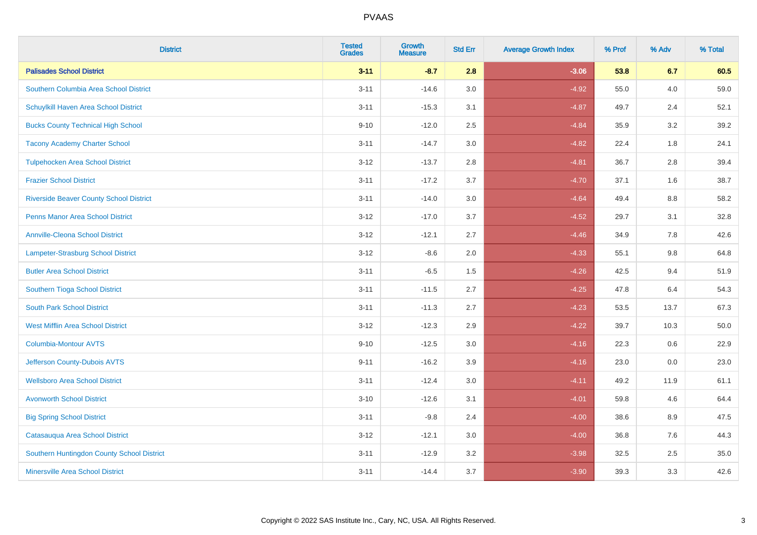| <b>District</b>                                | <b>Tested</b><br><b>Grades</b> | <b>Growth</b><br><b>Measure</b> | <b>Std Err</b> | <b>Average Growth Index</b> | % Prof | % Adv | % Total |
|------------------------------------------------|--------------------------------|---------------------------------|----------------|-----------------------------|--------|-------|---------|
| <b>Palisades School District</b>               | $3 - 11$                       | $-8.7$                          | 2.8            | $-3.06$                     | 53.8   | 6.7   | 60.5    |
| Southern Columbia Area School District         | $3 - 11$                       | $-14.6$                         | 3.0            | $-4.92$                     | 55.0   | 4.0   | 59.0    |
| Schuylkill Haven Area School District          | $3 - 11$                       | $-15.3$                         | 3.1            | $-4.87$                     | 49.7   | 2.4   | 52.1    |
| <b>Bucks County Technical High School</b>      | $9 - 10$                       | $-12.0$                         | 2.5            | $-4.84$                     | 35.9   | 3.2   | 39.2    |
| <b>Tacony Academy Charter School</b>           | $3 - 11$                       | $-14.7$                         | 3.0            | $-4.82$                     | 22.4   | 1.8   | 24.1    |
| <b>Tulpehocken Area School District</b>        | $3 - 12$                       | $-13.7$                         | 2.8            | $-4.81$                     | 36.7   | 2.8   | 39.4    |
| <b>Frazier School District</b>                 | $3 - 11$                       | $-17.2$                         | 3.7            | $-4.70$                     | 37.1   | 1.6   | 38.7    |
| <b>Riverside Beaver County School District</b> | $3 - 11$                       | $-14.0$                         | 3.0            | $-4.64$                     | 49.4   | 8.8   | 58.2    |
| <b>Penns Manor Area School District</b>        | $3 - 12$                       | $-17.0$                         | 3.7            | $-4.52$                     | 29.7   | 3.1   | 32.8    |
| <b>Annville-Cleona School District</b>         | $3 - 12$                       | $-12.1$                         | 2.7            | $-4.46$                     | 34.9   | 7.8   | 42.6    |
| Lampeter-Strasburg School District             | $3 - 12$                       | $-8.6$                          | 2.0            | $-4.33$                     | 55.1   | 9.8   | 64.8    |
| <b>Butler Area School District</b>             | $3 - 11$                       | $-6.5$                          | 1.5            | $-4.26$                     | 42.5   | 9.4   | 51.9    |
| Southern Tioga School District                 | $3 - 11$                       | $-11.5$                         | 2.7            | $-4.25$                     | 47.8   | 6.4   | 54.3    |
| <b>South Park School District</b>              | $3 - 11$                       | $-11.3$                         | 2.7            | $-4.23$                     | 53.5   | 13.7  | 67.3    |
| <b>West Mifflin Area School District</b>       | $3 - 12$                       | $-12.3$                         | 2.9            | $-4.22$                     | 39.7   | 10.3  | 50.0    |
| <b>Columbia-Montour AVTS</b>                   | $9 - 10$                       | $-12.5$                         | 3.0            | $-4.16$                     | 22.3   | 0.6   | 22.9    |
| Jefferson County-Dubois AVTS                   | $9 - 11$                       | $-16.2$                         | 3.9            | $-4.16$                     | 23.0   | 0.0   | 23.0    |
| <b>Wellsboro Area School District</b>          | $3 - 11$                       | $-12.4$                         | 3.0            | $-4.11$                     | 49.2   | 11.9  | 61.1    |
| <b>Avonworth School District</b>               | $3 - 10$                       | $-12.6$                         | 3.1            | $-4.01$                     | 59.8   | 4.6   | 64.4    |
| <b>Big Spring School District</b>              | $3 - 11$                       | $-9.8$                          | 2.4            | $-4.00$                     | 38.6   | 8.9   | 47.5    |
| Catasauqua Area School District                | $3 - 12$                       | $-12.1$                         | 3.0            | $-4.00$                     | 36.8   | 7.6   | 44.3    |
| Southern Huntingdon County School District     | $3 - 11$                       | $-12.9$                         | 3.2            | $-3.98$                     | 32.5   | 2.5   | 35.0    |
| <b>Minersville Area School District</b>        | $3 - 11$                       | $-14.4$                         | 3.7            | $-3.90$                     | 39.3   | 3.3   | 42.6    |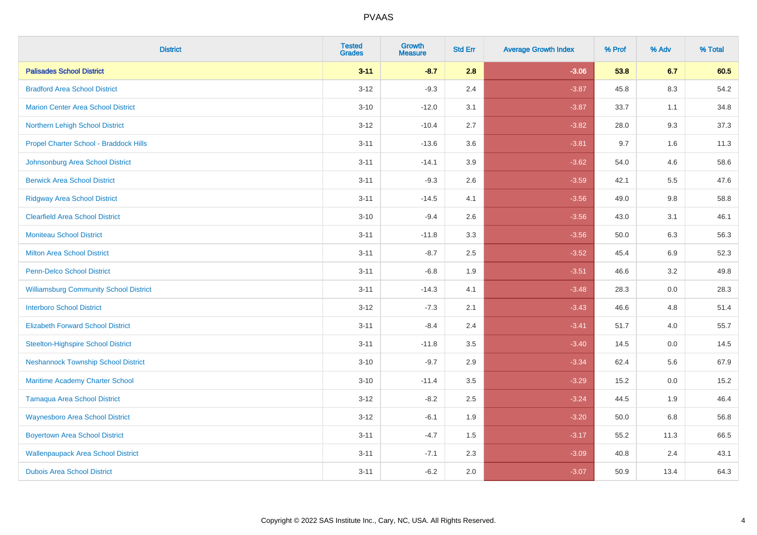| <b>District</b>                               | <b>Tested</b><br><b>Grades</b> | <b>Growth</b><br><b>Measure</b> | <b>Std Err</b> | <b>Average Growth Index</b> | % Prof | % Adv   | % Total |
|-----------------------------------------------|--------------------------------|---------------------------------|----------------|-----------------------------|--------|---------|---------|
| <b>Palisades School District</b>              | $3 - 11$                       | $-8.7$                          | 2.8            | $-3.06$                     | 53.8   | 6.7     | 60.5    |
| <b>Bradford Area School District</b>          | $3 - 12$                       | $-9.3$                          | 2.4            | $-3.87$                     | 45.8   | 8.3     | 54.2    |
| <b>Marion Center Area School District</b>     | $3 - 10$                       | $-12.0$                         | 3.1            | $-3.87$                     | 33.7   | 1.1     | 34.8    |
| Northern Lehigh School District               | $3 - 12$                       | $-10.4$                         | 2.7            | $-3.82$                     | 28.0   | 9.3     | 37.3    |
| Propel Charter School - Braddock Hills        | $3 - 11$                       | $-13.6$                         | 3.6            | $-3.81$                     | 9.7    | 1.6     | 11.3    |
| Johnsonburg Area School District              | $3 - 11$                       | $-14.1$                         | 3.9            | $-3.62$                     | 54.0   | 4.6     | 58.6    |
| <b>Berwick Area School District</b>           | $3 - 11$                       | $-9.3$                          | 2.6            | $-3.59$                     | 42.1   | 5.5     | 47.6    |
| <b>Ridgway Area School District</b>           | $3 - 11$                       | $-14.5$                         | 4.1            | $-3.56$                     | 49.0   | 9.8     | 58.8    |
| <b>Clearfield Area School District</b>        | $3 - 10$                       | $-9.4$                          | 2.6            | $-3.56$                     | 43.0   | 3.1     | 46.1    |
| <b>Moniteau School District</b>               | $3 - 11$                       | $-11.8$                         | 3.3            | $-3.56$                     | 50.0   | 6.3     | 56.3    |
| <b>Milton Area School District</b>            | $3 - 11$                       | $-8.7$                          | 2.5            | $-3.52$                     | 45.4   | 6.9     | 52.3    |
| <b>Penn-Delco School District</b>             | $3 - 11$                       | $-6.8$                          | 1.9            | $-3.51$                     | 46.6   | 3.2     | 49.8    |
| <b>Williamsburg Community School District</b> | $3 - 11$                       | $-14.3$                         | 4.1            | $-3.48$                     | 28.3   | $0.0\,$ | 28.3    |
| <b>Interboro School District</b>              | $3 - 12$                       | $-7.3$                          | 2.1            | $-3.43$                     | 46.6   | 4.8     | 51.4    |
| <b>Elizabeth Forward School District</b>      | $3 - 11$                       | $-8.4$                          | 2.4            | $-3.41$                     | 51.7   | 4.0     | 55.7    |
| <b>Steelton-Highspire School District</b>     | $3 - 11$                       | $-11.8$                         | 3.5            | $-3.40$                     | 14.5   | $0.0\,$ | 14.5    |
| <b>Neshannock Township School District</b>    | $3 - 10$                       | $-9.7$                          | 2.9            | $-3.34$                     | 62.4   | 5.6     | 67.9    |
| <b>Maritime Academy Charter School</b>        | $3 - 10$                       | $-11.4$                         | 3.5            | $-3.29$                     | 15.2   | 0.0     | 15.2    |
| <b>Tamaqua Area School District</b>           | $3 - 12$                       | $-8.2$                          | 2.5            | $-3.24$                     | 44.5   | 1.9     | 46.4    |
| <b>Waynesboro Area School District</b>        | $3 - 12$                       | $-6.1$                          | 1.9            | $-3.20$                     | 50.0   | 6.8     | 56.8    |
| <b>Boyertown Area School District</b>         | $3 - 11$                       | $-4.7$                          | 1.5            | $-3.17$                     | 55.2   | 11.3    | 66.5    |
| <b>Wallenpaupack Area School District</b>     | $3 - 11$                       | $-7.1$                          | 2.3            | $-3.09$                     | 40.8   | 2.4     | 43.1    |
| <b>Dubois Area School District</b>            | $3 - 11$                       | $-6.2$                          | 2.0            | $-3.07$                     | 50.9   | 13.4    | 64.3    |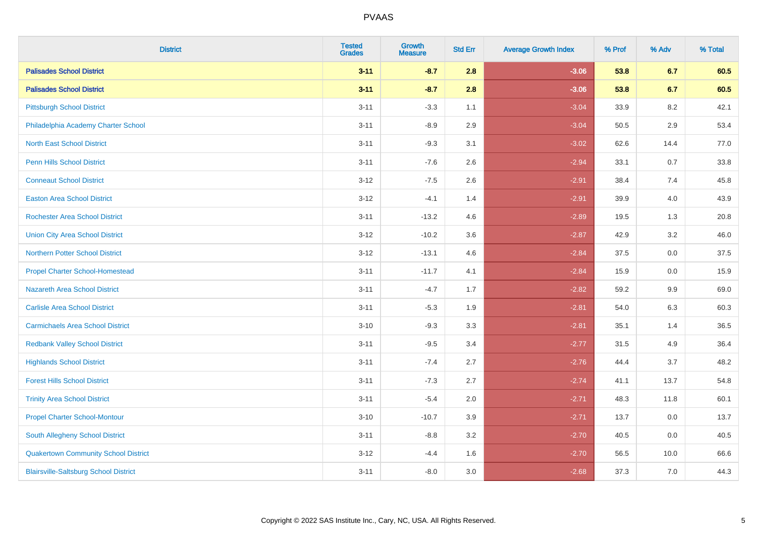| <b>District</b>                              | <b>Tested</b><br><b>Grades</b> | <b>Growth</b><br><b>Measure</b> | <b>Std Err</b> | <b>Average Growth Index</b> | % Prof | % Adv   | % Total |
|----------------------------------------------|--------------------------------|---------------------------------|----------------|-----------------------------|--------|---------|---------|
| <b>Palisades School District</b>             | $3 - 11$                       | $-8.7$                          | 2.8            | $-3.06$                     | 53.8   | 6.7     | 60.5    |
| <b>Palisades School District</b>             | $3 - 11$                       | $-8.7$                          | 2.8            | $-3.06$                     | 53.8   | 6.7     | 60.5    |
| <b>Pittsburgh School District</b>            | $3 - 11$                       | $-3.3$                          | 1.1            | $-3.04$                     | 33.9   | 8.2     | 42.1    |
| Philadelphia Academy Charter School          | $3 - 11$                       | $-8.9$                          | 2.9            | $-3.04$                     | 50.5   | 2.9     | 53.4    |
| <b>North East School District</b>            | $3 - 11$                       | $-9.3$                          | 3.1            | $-3.02$                     | 62.6   | 14.4    | 77.0    |
| <b>Penn Hills School District</b>            | $3 - 11$                       | $-7.6$                          | 2.6            | $-2.94$                     | 33.1   | 0.7     | 33.8    |
| <b>Conneaut School District</b>              | $3 - 12$                       | $-7.5$                          | 2.6            | $-2.91$                     | 38.4   | 7.4     | 45.8    |
| <b>Easton Area School District</b>           | $3 - 12$                       | $-4.1$                          | 1.4            | $-2.91$                     | 39.9   | 4.0     | 43.9    |
| <b>Rochester Area School District</b>        | $3 - 11$                       | $-13.2$                         | 4.6            | $-2.89$                     | 19.5   | 1.3     | 20.8    |
| <b>Union City Area School District</b>       | $3 - 12$                       | $-10.2$                         | 3.6            | $-2.87$                     | 42.9   | $3.2\,$ | 46.0    |
| Northern Potter School District              | $3 - 12$                       | $-13.1$                         | 4.6            | $-2.84$                     | 37.5   | 0.0     | 37.5    |
| <b>Propel Charter School-Homestead</b>       | $3 - 11$                       | $-11.7$                         | 4.1            | $-2.84$                     | 15.9   | 0.0     | 15.9    |
| <b>Nazareth Area School District</b>         | $3 - 11$                       | $-4.7$                          | 1.7            | $-2.82$                     | 59.2   | 9.9     | 69.0    |
| <b>Carlisle Area School District</b>         | $3 - 11$                       | $-5.3$                          | 1.9            | $-2.81$                     | 54.0   | 6.3     | 60.3    |
| <b>Carmichaels Area School District</b>      | $3 - 10$                       | $-9.3$                          | 3.3            | $-2.81$                     | 35.1   | 1.4     | 36.5    |
| <b>Redbank Valley School District</b>        | $3 - 11$                       | $-9.5$                          | 3.4            | $-2.77$                     | 31.5   | 4.9     | 36.4    |
| <b>Highlands School District</b>             | $3 - 11$                       | $-7.4$                          | 2.7            | $-2.76$                     | 44.4   | 3.7     | 48.2    |
| <b>Forest Hills School District</b>          | $3 - 11$                       | $-7.3$                          | 2.7            | $-2.74$                     | 41.1   | 13.7    | 54.8    |
| <b>Trinity Area School District</b>          | $3 - 11$                       | $-5.4$                          | 2.0            | $-2.71$                     | 48.3   | 11.8    | 60.1    |
| <b>Propel Charter School-Montour</b>         | $3 - 10$                       | $-10.7$                         | 3.9            | $-2.71$                     | 13.7   | 0.0     | 13.7    |
| South Allegheny School District              | $3 - 11$                       | $-8.8$                          | 3.2            | $-2.70$                     | 40.5   | 0.0     | 40.5    |
| <b>Quakertown Community School District</b>  | $3 - 12$                       | $-4.4$                          | 1.6            | $-2.70$                     | 56.5   | 10.0    | 66.6    |
| <b>Blairsville-Saltsburg School District</b> | $3 - 11$                       | $-8.0$                          | 3.0            | $-2.68$                     | 37.3   | 7.0     | 44.3    |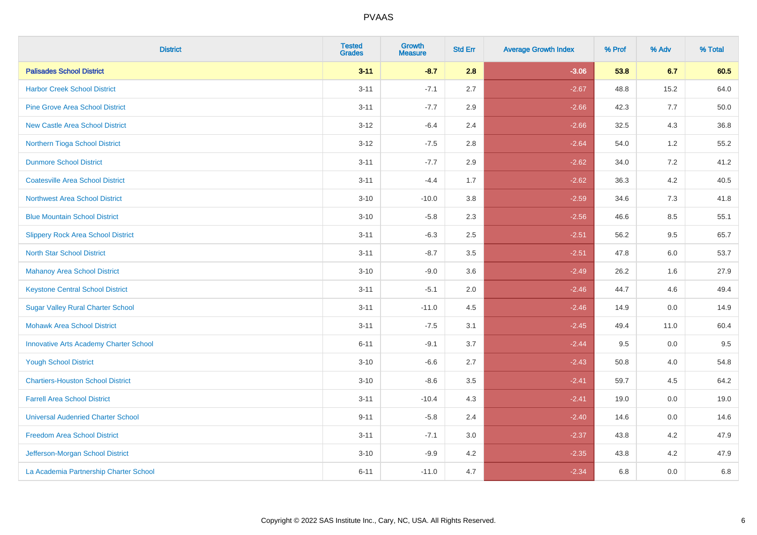| <b>District</b>                               | <b>Tested</b><br><b>Grades</b> | Growth<br><b>Measure</b> | <b>Std Err</b> | <b>Average Growth Index</b> | % Prof | % Adv   | % Total |
|-----------------------------------------------|--------------------------------|--------------------------|----------------|-----------------------------|--------|---------|---------|
| <b>Palisades School District</b>              | $3 - 11$                       | $-8.7$                   | 2.8            | $-3.06$                     | 53.8   | 6.7     | 60.5    |
| <b>Harbor Creek School District</b>           | $3 - 11$                       | $-7.1$                   | 2.7            | $-2.67$                     | 48.8   | 15.2    | 64.0    |
| <b>Pine Grove Area School District</b>        | $3 - 11$                       | $-7.7$                   | 2.9            | $-2.66$                     | 42.3   | 7.7     | 50.0    |
| <b>New Castle Area School District</b>        | $3-12$                         | $-6.4$                   | 2.4            | $-2.66$                     | 32.5   | $4.3$   | 36.8    |
| Northern Tioga School District                | $3 - 12$                       | $-7.5$                   | 2.8            | $-2.64$                     | 54.0   | 1.2     | 55.2    |
| <b>Dunmore School District</b>                | $3 - 11$                       | $-7.7$                   | 2.9            | $-2.62$                     | 34.0   | 7.2     | 41.2    |
| <b>Coatesville Area School District</b>       | $3 - 11$                       | $-4.4$                   | 1.7            | $-2.62$                     | 36.3   | $4.2\,$ | 40.5    |
| <b>Northwest Area School District</b>         | $3 - 10$                       | $-10.0$                  | 3.8            | $-2.59$                     | 34.6   | 7.3     | 41.8    |
| <b>Blue Mountain School District</b>          | $3 - 10$                       | $-5.8$                   | 2.3            | $-2.56$                     | 46.6   | 8.5     | 55.1    |
| <b>Slippery Rock Area School District</b>     | $3 - 11$                       | $-6.3$                   | 2.5            | $-2.51$                     | 56.2   | $9.5\,$ | 65.7    |
| <b>North Star School District</b>             | $3 - 11$                       | $-8.7$                   | 3.5            | $-2.51$                     | 47.8   | 6.0     | 53.7    |
| Mahanoy Area School District                  | $3 - 10$                       | $-9.0$                   | 3.6            | $-2.49$                     | 26.2   | 1.6     | 27.9    |
| <b>Keystone Central School District</b>       | $3 - 11$                       | $-5.1$                   | 2.0            | $-2.46$                     | 44.7   | 4.6     | 49.4    |
| <b>Sugar Valley Rural Charter School</b>      | $3 - 11$                       | $-11.0$                  | 4.5            | $-2.46$                     | 14.9   | $0.0\,$ | 14.9    |
| <b>Mohawk Area School District</b>            | $3 - 11$                       | $-7.5$                   | 3.1            | $-2.45$                     | 49.4   | 11.0    | 60.4    |
| <b>Innovative Arts Academy Charter School</b> | $6 - 11$                       | $-9.1$                   | 3.7            | $-2.44$                     | 9.5    | 0.0     | 9.5     |
| <b>Yough School District</b>                  | $3 - 10$                       | $-6.6$                   | 2.7            | $-2.43$                     | 50.8   | 4.0     | 54.8    |
| <b>Chartiers-Houston School District</b>      | $3 - 10$                       | $-8.6$                   | 3.5            | $-2.41$                     | 59.7   | 4.5     | 64.2    |
| <b>Farrell Area School District</b>           | $3 - 11$                       | $-10.4$                  | 4.3            | $-2.41$                     | 19.0   | 0.0     | 19.0    |
| <b>Universal Audenried Charter School</b>     | $9 - 11$                       | $-5.8$                   | 2.4            | $-2.40$                     | 14.6   | 0.0     | 14.6    |
| <b>Freedom Area School District</b>           | $3 - 11$                       | $-7.1$                   | 3.0            | $-2.37$                     | 43.8   | 4.2     | 47.9    |
| Jefferson-Morgan School District              | $3 - 10$                       | $-9.9$                   | 4.2            | $-2.35$                     | 43.8   | 4.2     | 47.9    |
| La Academia Partnership Charter School        | $6 - 11$                       | $-11.0$                  | 4.7            | $-2.34$                     | 6.8    | 0.0     | 6.8     |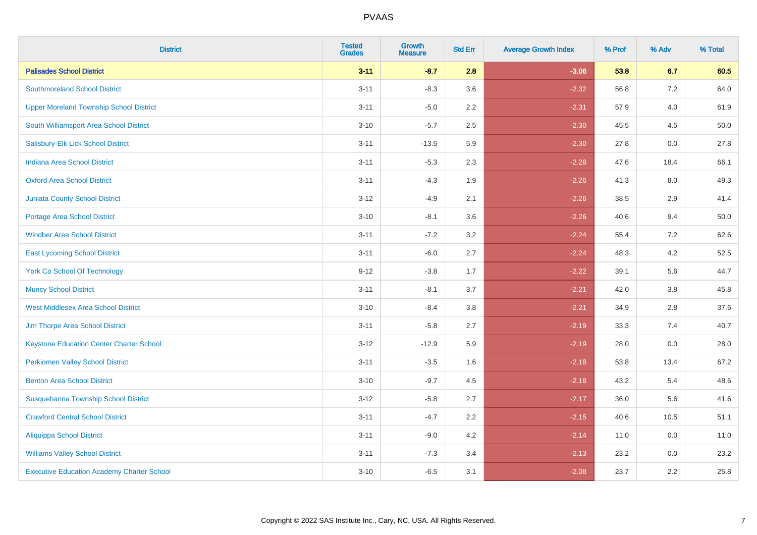| <b>District</b>                                   | <b>Tested</b><br><b>Grades</b> | <b>Growth</b><br><b>Measure</b> | <b>Std Err</b> | <b>Average Growth Index</b> | % Prof | % Adv   | % Total |
|---------------------------------------------------|--------------------------------|---------------------------------|----------------|-----------------------------|--------|---------|---------|
| <b>Palisades School District</b>                  | $3 - 11$                       | $-8.7$                          | 2.8            | $-3.06$                     | 53.8   | 6.7     | 60.5    |
| <b>Southmoreland School District</b>              | $3 - 11$                       | $-8.3$                          | 3.6            | $-2.32$                     | 56.8   | 7.2     | 64.0    |
| <b>Upper Moreland Township School District</b>    | $3 - 11$                       | $-5.0$                          | 2.2            | $-2.31$                     | 57.9   | 4.0     | 61.9    |
| South Williamsport Area School District           | $3 - 10$                       | $-5.7$                          | 2.5            | $-2.30$                     | 45.5   | 4.5     | 50.0    |
| Salisbury-Elk Lick School District                | $3 - 11$                       | $-13.5$                         | 5.9            | $-2.30$                     | 27.8   | 0.0     | 27.8    |
| <b>Indiana Area School District</b>               | $3 - 11$                       | $-5.3$                          | 2.3            | $-2.28$                     | 47.6   | 18.4    | 66.1    |
| <b>Oxford Area School District</b>                | $3 - 11$                       | $-4.3$                          | 1.9            | $-2.26$                     | 41.3   | $8.0\,$ | 49.3    |
| <b>Juniata County School District</b>             | $3 - 12$                       | $-4.9$                          | 2.1            | $-2.26$                     | 38.5   | 2.9     | 41.4    |
| Portage Area School District                      | $3 - 10$                       | $-8.1$                          | 3.6            | $-2.26$                     | 40.6   | 9.4     | 50.0    |
| <b>Windber Area School District</b>               | $3 - 11$                       | $-7.2$                          | 3.2            | $-2.24$                     | 55.4   | 7.2     | 62.6    |
| <b>East Lycoming School District</b>              | $3 - 11$                       | $-6.0$                          | 2.7            | $-2.24$                     | 48.3   | 4.2     | 52.5    |
| <b>York Co School Of Technology</b>               | $9 - 12$                       | $-3.8$                          | 1.7            | $-2.22$                     | 39.1   | 5.6     | 44.7    |
| <b>Muncy School District</b>                      | $3 - 11$                       | $-8.1$                          | 3.7            | $-2.21$                     | 42.0   | 3.8     | 45.8    |
| <b>West Middlesex Area School District</b>        | $3 - 10$                       | $-8.4$                          | 3.8            | $-2.21$                     | 34.9   | 2.8     | 37.6    |
| Jim Thorpe Area School District                   | $3 - 11$                       | $-5.8$                          | 2.7            | $-2.19$                     | 33.3   | 7.4     | 40.7    |
| <b>Keystone Education Center Charter School</b>   | $3 - 12$                       | $-12.9$                         | 5.9            | $-2.19$                     | 28.0   | 0.0     | 28.0    |
| <b>Perkiomen Valley School District</b>           | $3 - 11$                       | $-3.5$                          | 1.6            | $-2.18$                     | 53.8   | 13.4    | 67.2    |
| <b>Benton Area School District</b>                | $3 - 10$                       | $-9.7$                          | 4.5            | $-2.18$                     | 43.2   | 5.4     | 48.6    |
| Susquehanna Township School District              | $3 - 12$                       | $-5.8$                          | 2.7            | $-2.17$                     | 36.0   | 5.6     | 41.6    |
| <b>Crawford Central School District</b>           | $3 - 11$                       | $-4.7$                          | 2.2            | $-2.15$                     | 40.6   | 10.5    | 51.1    |
| <b>Aliquippa School District</b>                  | $3 - 11$                       | $-9.0$                          | 4.2            | $-2.14$                     | 11.0   | 0.0     | 11.0    |
| <b>Williams Valley School District</b>            | $3 - 11$                       | $-7.3$                          | 3.4            | $-2.13$                     | 23.2   | 0.0     | 23.2    |
| <b>Executive Education Academy Charter School</b> | $3 - 10$                       | $-6.5$                          | 3.1            | $-2.08$                     | 23.7   | 2.2     | 25.8    |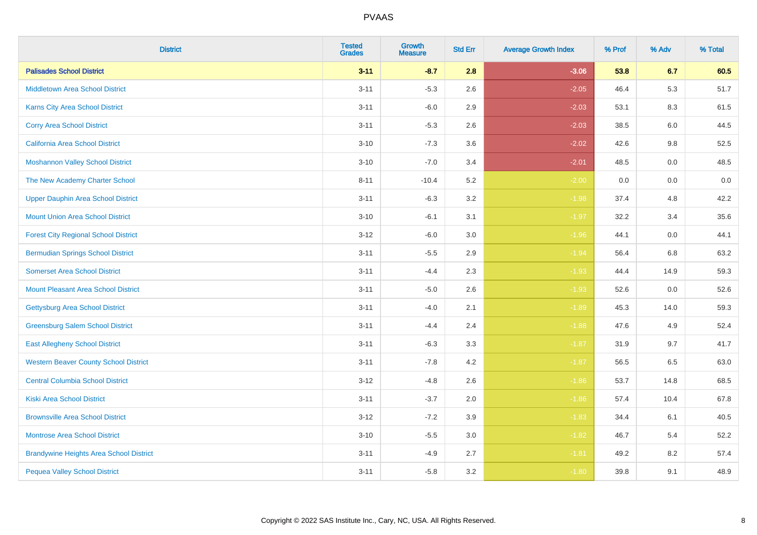| <b>District</b>                                | <b>Tested</b><br><b>Grades</b> | <b>Growth</b><br><b>Measure</b> | <b>Std Err</b> | <b>Average Growth Index</b> | % Prof | % Adv | % Total |
|------------------------------------------------|--------------------------------|---------------------------------|----------------|-----------------------------|--------|-------|---------|
| <b>Palisades School District</b>               | $3 - 11$                       | $-8.7$                          | 2.8            | $-3.06$                     | 53.8   | 6.7   | 60.5    |
| <b>Middletown Area School District</b>         | $3 - 11$                       | $-5.3$                          | 2.6            | $-2.05$                     | 46.4   | 5.3   | 51.7    |
| <b>Karns City Area School District</b>         | $3 - 11$                       | $-6.0$                          | 2.9            | $-2.03$                     | 53.1   | 8.3   | 61.5    |
| <b>Corry Area School District</b>              | $3 - 11$                       | $-5.3$                          | 2.6            | $-2.03$                     | 38.5   | 6.0   | 44.5    |
| <b>California Area School District</b>         | $3 - 10$                       | $-7.3$                          | 3.6            | $-2.02$                     | 42.6   | 9.8   | 52.5    |
| <b>Moshannon Valley School District</b>        | $3 - 10$                       | $-7.0$                          | 3.4            | $-2.01$                     | 48.5   | 0.0   | 48.5    |
| The New Academy Charter School                 | $8 - 11$                       | $-10.4$                         | 5.2            | $-2.00$                     | 0.0    | 0.0   | 0.0     |
| <b>Upper Dauphin Area School District</b>      | $3 - 11$                       | $-6.3$                          | 3.2            | $-1.98$                     | 37.4   | 4.8   | 42.2    |
| <b>Mount Union Area School District</b>        | $3 - 10$                       | $-6.1$                          | 3.1            | $-1.97$                     | 32.2   | 3.4   | 35.6    |
| <b>Forest City Regional School District</b>    | $3 - 12$                       | $-6.0$                          | 3.0            | $-1.96$                     | 44.1   | 0.0   | 44.1    |
| <b>Bermudian Springs School District</b>       | $3 - 11$                       | $-5.5$                          | 2.9            | $-1.94$                     | 56.4   | 6.8   | 63.2    |
| <b>Somerset Area School District</b>           | $3 - 11$                       | $-4.4$                          | 2.3            | $-1.93$                     | 44.4   | 14.9  | 59.3    |
| <b>Mount Pleasant Area School District</b>     | $3 - 11$                       | $-5.0$                          | 2.6            | $-1.93$                     | 52.6   | 0.0   | 52.6    |
| <b>Gettysburg Area School District</b>         | $3 - 11$                       | $-4.0$                          | 2.1            | $-1.89$                     | 45.3   | 14.0  | 59.3    |
| <b>Greensburg Salem School District</b>        | $3 - 11$                       | $-4.4$                          | 2.4            | $-1.88$                     | 47.6   | 4.9   | 52.4    |
| <b>East Allegheny School District</b>          | $3 - 11$                       | $-6.3$                          | 3.3            | $-1.87$                     | 31.9   | 9.7   | 41.7    |
| <b>Western Beaver County School District</b>   | $3 - 11$                       | $-7.8$                          | 4.2            | $-1.87$                     | 56.5   | 6.5   | 63.0    |
| <b>Central Columbia School District</b>        | $3 - 12$                       | $-4.8$                          | 2.6            | $-1.86$                     | 53.7   | 14.8  | 68.5    |
| <b>Kiski Area School District</b>              | $3 - 11$                       | $-3.7$                          | 2.0            | $-1.86$                     | 57.4   | 10.4  | 67.8    |
| <b>Brownsville Area School District</b>        | $3 - 12$                       | $-7.2$                          | 3.9            | $-1.83$                     | 34.4   | 6.1   | 40.5    |
| <b>Montrose Area School District</b>           | $3 - 10$                       | $-5.5$                          | 3.0            | $-1.82$                     | 46.7   | 5.4   | 52.2    |
| <b>Brandywine Heights Area School District</b> | $3 - 11$                       | $-4.9$                          | 2.7            | $-1.81$                     | 49.2   | 8.2   | 57.4    |
| <b>Pequea Valley School District</b>           | $3 - 11$                       | $-5.8$                          | 3.2            | $-1.80$                     | 39.8   | 9.1   | 48.9    |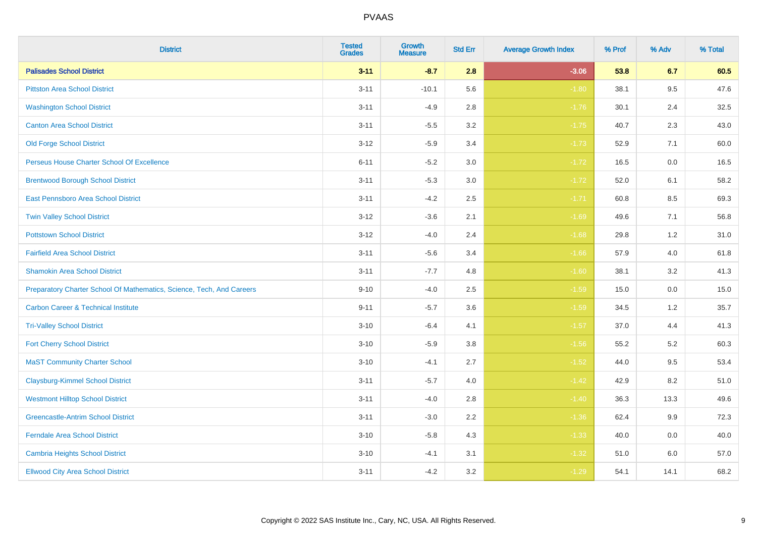| <b>District</b>                                                       | <b>Tested</b><br><b>Grades</b> | <b>Growth</b><br><b>Measure</b> | <b>Std Err</b> | <b>Average Growth Index</b> | % Prof | % Adv   | % Total |
|-----------------------------------------------------------------------|--------------------------------|---------------------------------|----------------|-----------------------------|--------|---------|---------|
| <b>Palisades School District</b>                                      | $3 - 11$                       | $-8.7$                          | 2.8            | $-3.06$                     | 53.8   | 6.7     | 60.5    |
| <b>Pittston Area School District</b>                                  | $3 - 11$                       | $-10.1$                         | 5.6            | $-1.80$                     | 38.1   | 9.5     | 47.6    |
| <b>Washington School District</b>                                     | $3 - 11$                       | $-4.9$                          | 2.8            | $-1.76$                     | 30.1   | 2.4     | 32.5    |
| <b>Canton Area School District</b>                                    | $3 - 11$                       | $-5.5$                          | $3.2\,$        | $-1.75$                     | 40.7   | 2.3     | 43.0    |
| <b>Old Forge School District</b>                                      | $3 - 12$                       | $-5.9$                          | 3.4            | $-1.73$                     | 52.9   | 7.1     | 60.0    |
| Perseus House Charter School Of Excellence                            | $6 - 11$                       | $-5.2$                          | 3.0            | $-1.72$                     | 16.5   | 0.0     | 16.5    |
| <b>Brentwood Borough School District</b>                              | $3 - 11$                       | $-5.3$                          | $3.0\,$        | $-1.72$                     | 52.0   | 6.1     | 58.2    |
| East Pennsboro Area School District                                   | $3 - 11$                       | $-4.2$                          | 2.5            | $-1.71$                     | 60.8   | 8.5     | 69.3    |
| <b>Twin Valley School District</b>                                    | $3 - 12$                       | $-3.6$                          | 2.1            | $-1.69$                     | 49.6   | 7.1     | 56.8    |
| <b>Pottstown School District</b>                                      | $3 - 12$                       | $-4.0$                          | 2.4            | $-1.68$                     | 29.8   | 1.2     | 31.0    |
| <b>Fairfield Area School District</b>                                 | $3 - 11$                       | $-5.6$                          | 3.4            | $-1.66$                     | 57.9   | 4.0     | 61.8    |
| <b>Shamokin Area School District</b>                                  | $3 - 11$                       | $-7.7$                          | 4.8            | $-1.60$                     | 38.1   | 3.2     | 41.3    |
| Preparatory Charter School Of Mathematics, Science, Tech, And Careers | $9 - 10$                       | $-4.0$                          | 2.5            | $-1.59$                     | 15.0   | $0.0\,$ | 15.0    |
| <b>Carbon Career &amp; Technical Institute</b>                        | $9 - 11$                       | $-5.7$                          | 3.6            | $-1.59$                     | 34.5   | 1.2     | 35.7    |
| <b>Tri-Valley School District</b>                                     | $3 - 10$                       | $-6.4$                          | 4.1            | $-1.57$                     | 37.0   | 4.4     | 41.3    |
| <b>Fort Cherry School District</b>                                    | $3 - 10$                       | $-5.9$                          | 3.8            | $-1.56$                     | 55.2   | 5.2     | 60.3    |
| <b>MaST Community Charter School</b>                                  | $3 - 10$                       | $-4.1$                          | 2.7            | $-1.52$                     | 44.0   | 9.5     | 53.4    |
| <b>Claysburg-Kimmel School District</b>                               | $3 - 11$                       | $-5.7$                          | 4.0            | $-1.42$                     | 42.9   | 8.2     | 51.0    |
| <b>Westmont Hilltop School District</b>                               | $3 - 11$                       | $-4.0$                          | 2.8            | $-1.40$                     | 36.3   | 13.3    | 49.6    |
| <b>Greencastle-Antrim School District</b>                             | $3 - 11$                       | $-3.0$                          | 2.2            | $-1.36$                     | 62.4   | 9.9     | 72.3    |
| <b>Ferndale Area School District</b>                                  | $3 - 10$                       | $-5.8$                          | 4.3            | $-1.33$                     | 40.0   | 0.0     | 40.0    |
| <b>Cambria Heights School District</b>                                | $3 - 10$                       | $-4.1$                          | 3.1            | $-1.32$                     | 51.0   | 6.0     | 57.0    |
| <b>Ellwood City Area School District</b>                              | $3 - 11$                       | $-4.2$                          | 3.2            | $-1.29$                     | 54.1   | 14.1    | 68.2    |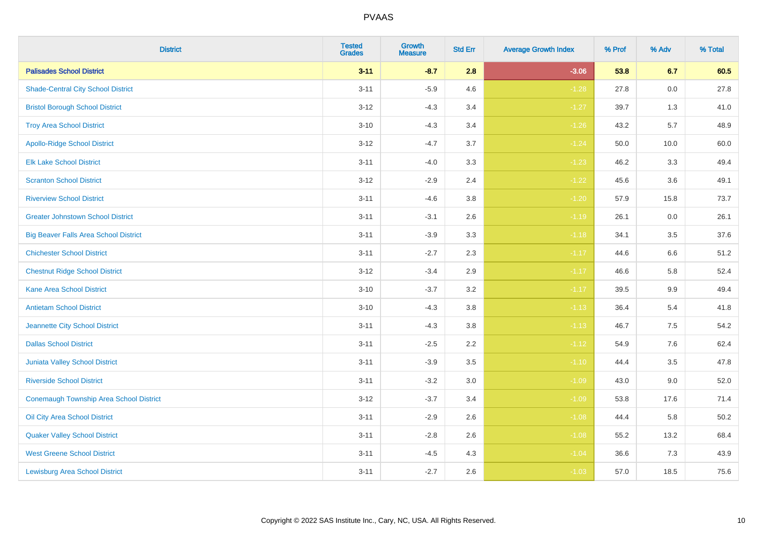| <b>District</b>                              | <b>Tested</b><br><b>Grades</b> | <b>Growth</b><br><b>Measure</b> | <b>Std Err</b> | <b>Average Growth Index</b> | % Prof | % Adv   | % Total |
|----------------------------------------------|--------------------------------|---------------------------------|----------------|-----------------------------|--------|---------|---------|
| <b>Palisades School District</b>             | $3 - 11$                       | $-8.7$                          | 2.8            | $-3.06$                     | 53.8   | 6.7     | 60.5    |
| <b>Shade-Central City School District</b>    | $3 - 11$                       | $-5.9$                          | 4.6            | $-1.28$                     | 27.8   | 0.0     | 27.8    |
| <b>Bristol Borough School District</b>       | $3 - 12$                       | $-4.3$                          | 3.4            | $-1.27$                     | 39.7   | 1.3     | 41.0    |
| <b>Troy Area School District</b>             | $3 - 10$                       | $-4.3$                          | 3.4            | $-1.26$                     | 43.2   | 5.7     | 48.9    |
| <b>Apollo-Ridge School District</b>          | $3 - 12$                       | $-4.7$                          | 3.7            | $-1.24$                     | 50.0   | 10.0    | 60.0    |
| <b>Elk Lake School District</b>              | $3 - 11$                       | $-4.0$                          | 3.3            | $-1.23$                     | 46.2   | 3.3     | 49.4    |
| <b>Scranton School District</b>              | $3 - 12$                       | $-2.9$                          | 2.4            | $-1.22$                     | 45.6   | 3.6     | 49.1    |
| <b>Riverview School District</b>             | $3 - 11$                       | $-4.6$                          | 3.8            | $-1.20$                     | 57.9   | 15.8    | 73.7    |
| <b>Greater Johnstown School District</b>     | $3 - 11$                       | $-3.1$                          | 2.6            | $-1.19$                     | 26.1   | 0.0     | 26.1    |
| <b>Big Beaver Falls Area School District</b> | $3 - 11$                       | $-3.9$                          | 3.3            | $-1.18$                     | 34.1   | 3.5     | 37.6    |
| <b>Chichester School District</b>            | $3 - 11$                       | $-2.7$                          | 2.3            | $-1.17$                     | 44.6   | 6.6     | 51.2    |
| <b>Chestnut Ridge School District</b>        | $3 - 12$                       | $-3.4$                          | 2.9            | $-1.17$                     | 46.6   | 5.8     | 52.4    |
| <b>Kane Area School District</b>             | $3 - 10$                       | $-3.7$                          | 3.2            | $-1.17$                     | 39.5   | 9.9     | 49.4    |
| <b>Antietam School District</b>              | $3 - 10$                       | $-4.3$                          | 3.8            | $-1.13$                     | 36.4   | $5.4$   | 41.8    |
| Jeannette City School District               | $3 - 11$                       | $-4.3$                          | 3.8            | $-1.13$                     | 46.7   | 7.5     | 54.2    |
| <b>Dallas School District</b>                | $3 - 11$                       | $-2.5$                          | 2.2            | $-1.12$                     | 54.9   | $7.6\,$ | 62.4    |
| Juniata Valley School District               | $3 - 11$                       | $-3.9$                          | 3.5            | $-1.10$                     | 44.4   | 3.5     | 47.8    |
| <b>Riverside School District</b>             | $3 - 11$                       | $-3.2$                          | 3.0            | $-1.09$                     | 43.0   | 9.0     | 52.0    |
| Conemaugh Township Area School District      | $3 - 12$                       | $-3.7$                          | 3.4            | $-1.09$                     | 53.8   | 17.6    | 71.4    |
| Oil City Area School District                | $3 - 11$                       | $-2.9$                          | 2.6            | $-1.08$                     | 44.4   | 5.8     | 50.2    |
| <b>Quaker Valley School District</b>         | $3 - 11$                       | $-2.8$                          | 2.6            | $-1.08$                     | 55.2   | 13.2    | 68.4    |
| <b>West Greene School District</b>           | $3 - 11$                       | $-4.5$                          | 4.3            | $-1.04$                     | 36.6   | 7.3     | 43.9    |
| <b>Lewisburg Area School District</b>        | $3 - 11$                       | $-2.7$                          | 2.6            | $-1.03$                     | 57.0   | 18.5    | 75.6    |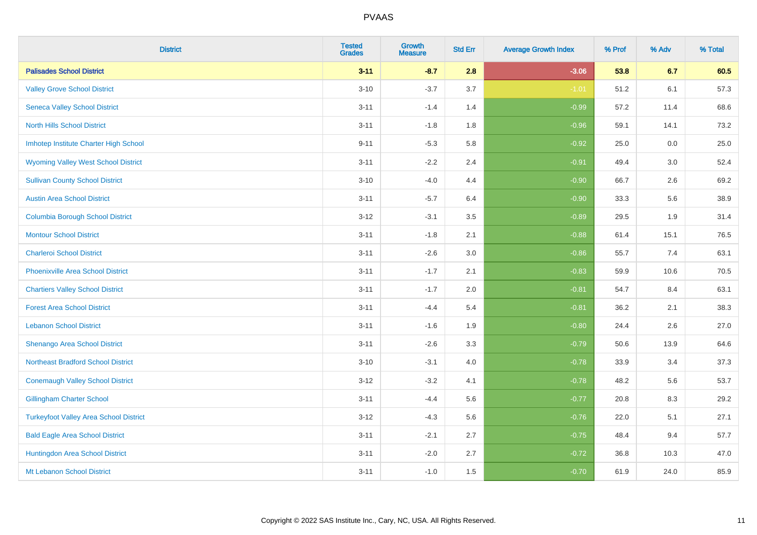| <b>District</b>                               | <b>Tested</b><br><b>Grades</b> | <b>Growth</b><br><b>Measure</b> | <b>Std Err</b> | <b>Average Growth Index</b> | % Prof | % Adv | % Total |
|-----------------------------------------------|--------------------------------|---------------------------------|----------------|-----------------------------|--------|-------|---------|
| <b>Palisades School District</b>              | $3 - 11$                       | $-8.7$                          | 2.8            | $-3.06$                     | 53.8   | 6.7   | 60.5    |
| <b>Valley Grove School District</b>           | $3 - 10$                       | $-3.7$                          | 3.7            | $-1.01$                     | 51.2   | 6.1   | 57.3    |
| <b>Seneca Valley School District</b>          | $3 - 11$                       | $-1.4$                          | 1.4            | $-0.99$                     | 57.2   | 11.4  | 68.6    |
| <b>North Hills School District</b>            | $3 - 11$                       | $-1.8$                          | 1.8            | $-0.96$                     | 59.1   | 14.1  | 73.2    |
| Imhotep Institute Charter High School         | $9 - 11$                       | $-5.3$                          | 5.8            | $-0.92$                     | 25.0   | 0.0   | 25.0    |
| <b>Wyoming Valley West School District</b>    | $3 - 11$                       | $-2.2$                          | 2.4            | $-0.91$                     | 49.4   | 3.0   | 52.4    |
| <b>Sullivan County School District</b>        | $3 - 10$                       | $-4.0$                          | 4.4            | $-0.90$                     | 66.7   | 2.6   | 69.2    |
| <b>Austin Area School District</b>            | $3 - 11$                       | $-5.7$                          | 6.4            | $-0.90$                     | 33.3   | 5.6   | 38.9    |
| <b>Columbia Borough School District</b>       | $3 - 12$                       | $-3.1$                          | 3.5            | $-0.89$                     | 29.5   | 1.9   | 31.4    |
| <b>Montour School District</b>                | $3 - 11$                       | $-1.8$                          | 2.1            | $-0.88$                     | 61.4   | 15.1  | 76.5    |
| <b>Charleroi School District</b>              | $3 - 11$                       | $-2.6$                          | 3.0            | $-0.86$                     | 55.7   | 7.4   | 63.1    |
| <b>Phoenixville Area School District</b>      | $3 - 11$                       | $-1.7$                          | 2.1            | $-0.83$                     | 59.9   | 10.6  | 70.5    |
| <b>Chartiers Valley School District</b>       | $3 - 11$                       | $-1.7$                          | 2.0            | $-0.81$                     | 54.7   | 8.4   | 63.1    |
| <b>Forest Area School District</b>            | $3 - 11$                       | $-4.4$                          | 5.4            | $-0.81$                     | 36.2   | 2.1   | 38.3    |
| <b>Lebanon School District</b>                | $3 - 11$                       | $-1.6$                          | 1.9            | $-0.80$                     | 24.4   | 2.6   | 27.0    |
| Shenango Area School District                 | $3 - 11$                       | $-2.6$                          | 3.3            | $-0.79$                     | 50.6   | 13.9  | 64.6    |
| <b>Northeast Bradford School District</b>     | $3 - 10$                       | $-3.1$                          | 4.0            | $-0.78$                     | 33.9   | 3.4   | 37.3    |
| <b>Conemaugh Valley School District</b>       | $3 - 12$                       | $-3.2$                          | 4.1            | $-0.78$                     | 48.2   | 5.6   | 53.7    |
| <b>Gillingham Charter School</b>              | $3 - 11$                       | $-4.4$                          | 5.6            | $-0.77$                     | 20.8   | 8.3   | 29.2    |
| <b>Turkeyfoot Valley Area School District</b> | $3 - 12$                       | $-4.3$                          | 5.6            | $-0.76$                     | 22.0   | 5.1   | 27.1    |
| <b>Bald Eagle Area School District</b>        | $3 - 11$                       | $-2.1$                          | 2.7            | $-0.75$                     | 48.4   | 9.4   | 57.7    |
| Huntingdon Area School District               | $3 - 11$                       | $-2.0$                          | 2.7            | $-0.72$                     | 36.8   | 10.3  | 47.0    |
| Mt Lebanon School District                    | $3 - 11$                       | $-1.0$                          | 1.5            | $-0.70$                     | 61.9   | 24.0  | 85.9    |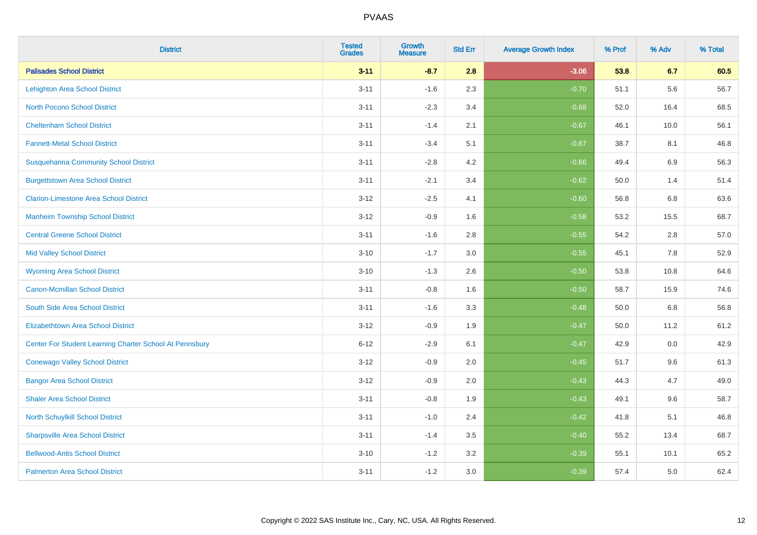| <b>District</b>                                         | <b>Tested</b><br><b>Grades</b> | <b>Growth</b><br><b>Measure</b> | <b>Std Err</b> | <b>Average Growth Index</b> | % Prof | % Adv | % Total |
|---------------------------------------------------------|--------------------------------|---------------------------------|----------------|-----------------------------|--------|-------|---------|
| <b>Palisades School District</b>                        | $3 - 11$                       | $-8.7$                          | 2.8            | $-3.06$                     | 53.8   | 6.7   | 60.5    |
| <b>Lehighton Area School District</b>                   | $3 - 11$                       | $-1.6$                          | 2.3            | $-0.70$                     | 51.1   | 5.6   | 56.7    |
| <b>North Pocono School District</b>                     | $3 - 11$                       | $-2.3$                          | 3.4            | $-0.68$                     | 52.0   | 16.4  | 68.5    |
| <b>Cheltenham School District</b>                       | $3 - 11$                       | $-1.4$                          | 2.1            | $-0.67$                     | 46.1   | 10.0  | 56.1    |
| <b>Fannett-Metal School District</b>                    | $3 - 11$                       | $-3.4$                          | 5.1            | $-0.67$                     | 38.7   | 8.1   | 46.8    |
| <b>Susquehanna Community School District</b>            | $3 - 11$                       | $-2.8$                          | 4.2            | $-0.66$                     | 49.4   | 6.9   | 56.3    |
| <b>Burgettstown Area School District</b>                | $3 - 11$                       | $-2.1$                          | 3.4            | $-0.62$                     | 50.0   | 1.4   | 51.4    |
| <b>Clarion-Limestone Area School District</b>           | $3 - 12$                       | $-2.5$                          | 4.1            | $-0.60$                     | 56.8   | 6.8   | 63.6    |
| <b>Manheim Township School District</b>                 | $3 - 12$                       | $-0.9$                          | 1.6            | $-0.58$                     | 53.2   | 15.5  | 68.7    |
| <b>Central Greene School District</b>                   | $3 - 11$                       | $-1.6$                          | 2.8            | $-0.55$                     | 54.2   | 2.8   | 57.0    |
| <b>Mid Valley School District</b>                       | $3 - 10$                       | $-1.7$                          | 3.0            | $-0.55$                     | 45.1   | 7.8   | 52.9    |
| <b>Wyoming Area School District</b>                     | $3 - 10$                       | $-1.3$                          | 2.6            | $-0.50$                     | 53.8   | 10.8  | 64.6    |
| <b>Canon-Mcmillan School District</b>                   | $3 - 11$                       | $-0.8$                          | 1.6            | $-0.50$                     | 58.7   | 15.9  | 74.6    |
| South Side Area School District                         | $3 - 11$                       | $-1.6$                          | 3.3            | $-0.48$                     | 50.0   | 6.8   | 56.8    |
| <b>Elizabethtown Area School District</b>               | $3 - 12$                       | $-0.9$                          | 1.9            | $-0.47$                     | 50.0   | 11.2  | 61.2    |
| Center For Student Learning Charter School At Pennsbury | $6 - 12$                       | $-2.9$                          | 6.1            | $-0.47$                     | 42.9   | 0.0   | 42.9    |
| <b>Conewago Valley School District</b>                  | $3 - 12$                       | $-0.9$                          | 2.0            | $-0.45$                     | 51.7   | 9.6   | 61.3    |
| <b>Bangor Area School District</b>                      | $3 - 12$                       | $-0.9$                          | 2.0            | $-0.43$                     | 44.3   | 4.7   | 49.0    |
| <b>Shaler Area School District</b>                      | $3 - 11$                       | $-0.8$                          | 1.9            | $-0.43$                     | 49.1   | 9.6   | 58.7    |
| North Schuylkill School District                        | $3 - 11$                       | $-1.0$                          | 2.4            | $-0.42$                     | 41.8   | 5.1   | 46.8    |
| <b>Sharpsville Area School District</b>                 | $3 - 11$                       | $-1.4$                          | 3.5            | $-0.40$                     | 55.2   | 13.4  | 68.7    |
| <b>Bellwood-Antis School District</b>                   | $3 - 10$                       | $-1.2$                          | 3.2            | $-0.39$                     | 55.1   | 10.1  | 65.2    |
| <b>Palmerton Area School District</b>                   | $3 - 11$                       | $-1.2$                          | 3.0            | $-0.39$                     | 57.4   | 5.0   | 62.4    |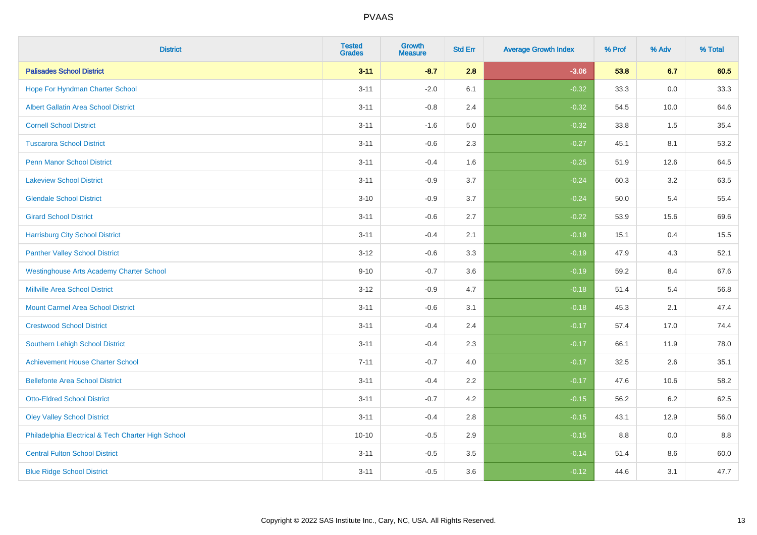| <b>District</b>                                    | <b>Tested</b><br><b>Grades</b> | <b>Growth</b><br><b>Measure</b> | <b>Std Err</b> | <b>Average Growth Index</b> | % Prof | % Adv   | % Total |
|----------------------------------------------------|--------------------------------|---------------------------------|----------------|-----------------------------|--------|---------|---------|
| <b>Palisades School District</b>                   | $3 - 11$                       | $-8.7$                          | 2.8            | $-3.06$                     | 53.8   | 6.7     | 60.5    |
| Hope For Hyndman Charter School                    | $3 - 11$                       | $-2.0$                          | 6.1            | $-0.32$                     | 33.3   | 0.0     | 33.3    |
| <b>Albert Gallatin Area School District</b>        | $3 - 11$                       | $-0.8$                          | 2.4            | $-0.32$                     | 54.5   | 10.0    | 64.6    |
| <b>Cornell School District</b>                     | $3 - 11$                       | $-1.6$                          | 5.0            | $-0.32$                     | 33.8   | 1.5     | 35.4    |
| <b>Tuscarora School District</b>                   | $3 - 11$                       | $-0.6$                          | 2.3            | $-0.27$                     | 45.1   | 8.1     | 53.2    |
| <b>Penn Manor School District</b>                  | $3 - 11$                       | $-0.4$                          | 1.6            | $-0.25$                     | 51.9   | 12.6    | 64.5    |
| <b>Lakeview School District</b>                    | $3 - 11$                       | $-0.9$                          | 3.7            | $-0.24$                     | 60.3   | 3.2     | 63.5    |
| <b>Glendale School District</b>                    | $3 - 10$                       | $-0.9$                          | 3.7            | $-0.24$                     | 50.0   | 5.4     | 55.4    |
| <b>Girard School District</b>                      | $3 - 11$                       | $-0.6$                          | 2.7            | $-0.22$                     | 53.9   | 15.6    | 69.6    |
| <b>Harrisburg City School District</b>             | $3 - 11$                       | $-0.4$                          | 2.1            | $-0.19$                     | 15.1   | 0.4     | 15.5    |
| <b>Panther Valley School District</b>              | $3 - 12$                       | $-0.6$                          | 3.3            | $-0.19$                     | 47.9   | 4.3     | 52.1    |
| <b>Westinghouse Arts Academy Charter School</b>    | $9 - 10$                       | $-0.7$                          | 3.6            | $-0.19$                     | 59.2   | 8.4     | 67.6    |
| <b>Millville Area School District</b>              | $3 - 12$                       | $-0.9$                          | 4.7            | $-0.18$                     | 51.4   | 5.4     | 56.8    |
| <b>Mount Carmel Area School District</b>           | $3 - 11$                       | $-0.6$                          | 3.1            | $-0.18$                     | 45.3   | 2.1     | 47.4    |
| <b>Crestwood School District</b>                   | $3 - 11$                       | $-0.4$                          | 2.4            | $-0.17$                     | 57.4   | 17.0    | 74.4    |
| Southern Lehigh School District                    | $3 - 11$                       | $-0.4$                          | 2.3            | $-0.17$                     | 66.1   | 11.9    | 78.0    |
| <b>Achievement House Charter School</b>            | $7 - 11$                       | $-0.7$                          | 4.0            | $-0.17$                     | 32.5   | 2.6     | 35.1    |
| <b>Bellefonte Area School District</b>             | $3 - 11$                       | $-0.4$                          | 2.2            | $-0.17$                     | 47.6   | 10.6    | 58.2    |
| <b>Otto-Eldred School District</b>                 | $3 - 11$                       | $-0.7$                          | 4.2            | $-0.15$                     | 56.2   | $6.2\,$ | 62.5    |
| <b>Oley Valley School District</b>                 | $3 - 11$                       | $-0.4$                          | 2.8            | $-0.15$                     | 43.1   | 12.9    | 56.0    |
| Philadelphia Electrical & Tech Charter High School | $10 - 10$                      | $-0.5$                          | 2.9            | $-0.15$                     | 8.8    | 0.0     | 8.8     |
| <b>Central Fulton School District</b>              | $3 - 11$                       | $-0.5$                          | 3.5            | $-0.14$                     | 51.4   | 8.6     | 60.0    |
| <b>Blue Ridge School District</b>                  | $3 - 11$                       | $-0.5$                          | 3.6            | $-0.12$                     | 44.6   | 3.1     | 47.7    |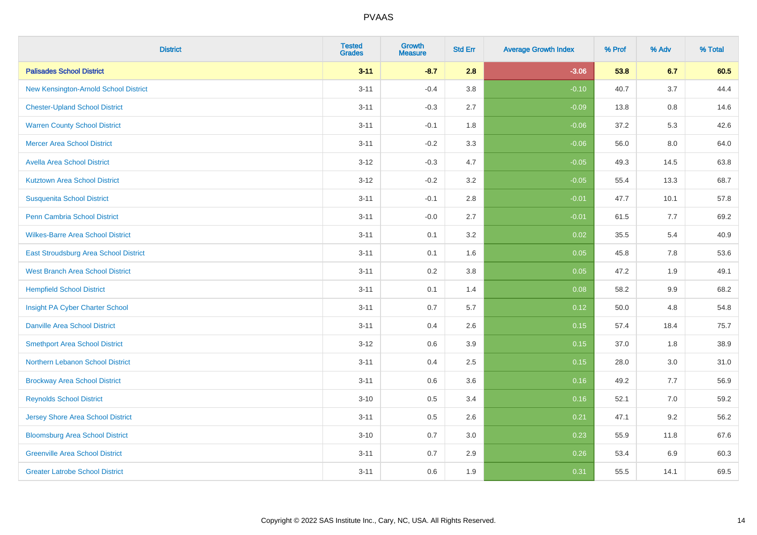| <b>District</b>                          | <b>Tested</b><br><b>Grades</b> | <b>Growth</b><br><b>Measure</b> | <b>Std Err</b> | <b>Average Growth Index</b> | % Prof | % Adv   | % Total |
|------------------------------------------|--------------------------------|---------------------------------|----------------|-----------------------------|--------|---------|---------|
| <b>Palisades School District</b>         | $3 - 11$                       | $-8.7$                          | 2.8            | $-3.06$                     | 53.8   | 6.7     | 60.5    |
| New Kensington-Arnold School District    | $3 - 11$                       | $-0.4$                          | 3.8            | $-0.10$                     | 40.7   | 3.7     | 44.4    |
| <b>Chester-Upland School District</b>    | $3 - 11$                       | $-0.3$                          | 2.7            | $-0.09$                     | 13.8   | $0.8\,$ | 14.6    |
| <b>Warren County School District</b>     | $3 - 11$                       | $-0.1$                          | 1.8            | $-0.06$                     | 37.2   | 5.3     | 42.6    |
| <b>Mercer Area School District</b>       | $3 - 11$                       | $-0.2$                          | 3.3            | $-0.06$                     | 56.0   | 8.0     | 64.0    |
| <b>Avella Area School District</b>       | $3 - 12$                       | $-0.3$                          | 4.7            | $-0.05$                     | 49.3   | 14.5    | 63.8    |
| <b>Kutztown Area School District</b>     | $3 - 12$                       | $-0.2$                          | 3.2            | $-0.05$                     | 55.4   | 13.3    | 68.7    |
| <b>Susquenita School District</b>        | $3 - 11$                       | $-0.1$                          | 2.8            | $-0.01$                     | 47.7   | 10.1    | 57.8    |
| Penn Cambria School District             | $3 - 11$                       | $-0.0$                          | 2.7            | $-0.01$                     | 61.5   | 7.7     | 69.2    |
| <b>Wilkes-Barre Area School District</b> | $3 - 11$                       | 0.1                             | 3.2            | 0.02                        | 35.5   | 5.4     | 40.9    |
| East Stroudsburg Area School District    | $3 - 11$                       | 0.1                             | 1.6            | 0.05                        | 45.8   | 7.8     | 53.6    |
| <b>West Branch Area School District</b>  | $3 - 11$                       | 0.2                             | 3.8            | 0.05                        | 47.2   | 1.9     | 49.1    |
| <b>Hempfield School District</b>         | $3 - 11$                       | 0.1                             | 1.4            | 0.08                        | 58.2   | $9.9\,$ | 68.2    |
| Insight PA Cyber Charter School          | $3 - 11$                       | 0.7                             | 5.7            | 0.12                        | 50.0   | 4.8     | 54.8    |
| <b>Danville Area School District</b>     | $3 - 11$                       | 0.4                             | 2.6            | 0.15                        | 57.4   | 18.4    | 75.7    |
| <b>Smethport Area School District</b>    | $3 - 12$                       | 0.6                             | 3.9            | 0.15                        | 37.0   | 1.8     | 38.9    |
| Northern Lebanon School District         | $3 - 11$                       | 0.4                             | 2.5            | 0.15                        | 28.0   | 3.0     | 31.0    |
| <b>Brockway Area School District</b>     | $3 - 11$                       | 0.6                             | 3.6            | 0.16                        | 49.2   | 7.7     | 56.9    |
| <b>Reynolds School District</b>          | $3 - 10$                       | $0.5\,$                         | 3.4            | 0.16                        | 52.1   | 7.0     | 59.2    |
| Jersey Shore Area School District        | $3 - 11$                       | 0.5                             | 2.6            | 0.21                        | 47.1   | 9.2     | 56.2    |
| <b>Bloomsburg Area School District</b>   | $3 - 10$                       | 0.7                             | 3.0            | 0.23                        | 55.9   | 11.8    | 67.6    |
| <b>Greenville Area School District</b>   | $3 - 11$                       | 0.7                             | 2.9            | 0.26                        | 53.4   | 6.9     | 60.3    |
| <b>Greater Latrobe School District</b>   | $3 - 11$                       | 0.6                             | 1.9            | 0.31                        | 55.5   | 14.1    | 69.5    |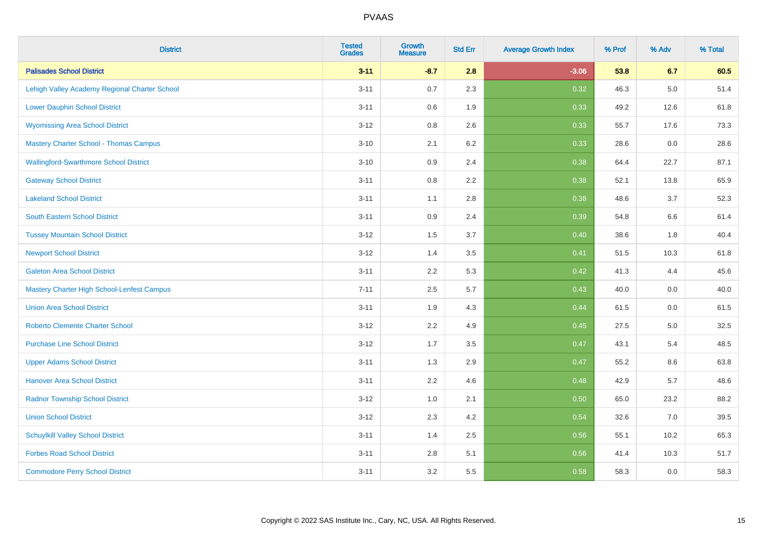| <b>District</b>                               | <b>Tested</b><br><b>Grades</b> | <b>Growth</b><br><b>Measure</b> | <b>Std Err</b> | <b>Average Growth Index</b> | % Prof | % Adv | % Total |
|-----------------------------------------------|--------------------------------|---------------------------------|----------------|-----------------------------|--------|-------|---------|
| <b>Palisades School District</b>              | $3 - 11$                       | $-8.7$                          | 2.8            | $-3.06$                     | 53.8   | 6.7   | 60.5    |
| Lehigh Valley Academy Regional Charter School | $3 - 11$                       | $0.7\,$                         | 2.3            | 0.32                        | 46.3   | 5.0   | 51.4    |
| <b>Lower Dauphin School District</b>          | $3 - 11$                       | 0.6                             | 1.9            | 0.33                        | 49.2   | 12.6  | 61.8    |
| <b>Wyomissing Area School District</b>        | $3 - 12$                       | 0.8                             | 2.6            | 0.33                        | 55.7   | 17.6  | 73.3    |
| <b>Mastery Charter School - Thomas Campus</b> | $3 - 10$                       | 2.1                             | 6.2            | 0.33                        | 28.6   | 0.0   | 28.6    |
| <b>Wallingford-Swarthmore School District</b> | $3 - 10$                       | 0.9                             | 2.4            | 0.38                        | 64.4   | 22.7  | 87.1    |
| <b>Gateway School District</b>                | $3 - 11$                       | 0.8                             | 2.2            | 0.38                        | 52.1   | 13.8  | 65.9    |
| <b>Lakeland School District</b>               | $3 - 11$                       | 1.1                             | 2.8            | 0.38                        | 48.6   | 3.7   | 52.3    |
| <b>South Eastern School District</b>          | $3 - 11$                       | $0.9\,$                         | 2.4            | 0.39                        | 54.8   | 6.6   | 61.4    |
| <b>Tussey Mountain School District</b>        | $3 - 12$                       | 1.5                             | 3.7            | 0.40                        | 38.6   | 1.8   | 40.4    |
| <b>Newport School District</b>                | $3 - 12$                       | 1.4                             | 3.5            | 0.41                        | 51.5   | 10.3  | 61.8    |
| <b>Galeton Area School District</b>           | $3 - 11$                       | 2.2                             | 5.3            | 0.42                        | 41.3   | 4.4   | 45.6    |
| Mastery Charter High School-Lenfest Campus    | $7 - 11$                       | 2.5                             | 5.7            | 0.43                        | 40.0   | 0.0   | 40.0    |
| <b>Union Area School District</b>             | $3 - 11$                       | 1.9                             | 4.3            | 0.44                        | 61.5   | 0.0   | 61.5    |
| <b>Roberto Clemente Charter School</b>        | $3 - 12$                       | 2.2                             | 4.9            | 0.45                        | 27.5   | 5.0   | 32.5    |
| <b>Purchase Line School District</b>          | $3 - 12$                       | 1.7                             | 3.5            | 0.47                        | 43.1   | 5.4   | 48.5    |
| <b>Upper Adams School District</b>            | $3 - 11$                       | 1.3                             | 2.9            | 0.47                        | 55.2   | 8.6   | 63.8    |
| <b>Hanover Area School District</b>           | $3 - 11$                       | 2.2                             | 4.6            | 0.48                        | 42.9   | 5.7   | 48.6    |
| <b>Radnor Township School District</b>        | $3 - 12$                       | 1.0                             | 2.1            | 0.50                        | 65.0   | 23.2  | 88.2    |
| <b>Union School District</b>                  | $3 - 12$                       | 2.3                             | 4.2            | 0.54                        | 32.6   | 7.0   | 39.5    |
| <b>Schuylkill Valley School District</b>      | $3 - 11$                       | 1.4                             | 2.5            | 0.56                        | 55.1   | 10.2  | 65.3    |
| <b>Forbes Road School District</b>            | $3 - 11$                       | 2.8                             | 5.1            | 0.56                        | 41.4   | 10.3  | 51.7    |
| <b>Commodore Perry School District</b>        | $3 - 11$                       | 3.2                             | 5.5            | 0.58                        | 58.3   | 0.0   | 58.3    |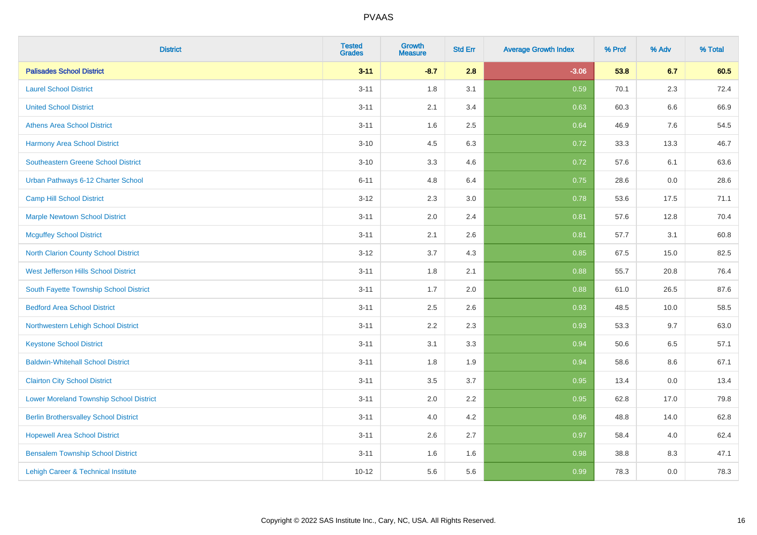| <b>District</b>                                | <b>Tested</b><br><b>Grades</b> | <b>Growth</b><br><b>Measure</b> | <b>Std Err</b> | <b>Average Growth Index</b> | % Prof | % Adv   | % Total |
|------------------------------------------------|--------------------------------|---------------------------------|----------------|-----------------------------|--------|---------|---------|
| <b>Palisades School District</b>               | $3 - 11$                       | $-8.7$                          | 2.8            | $-3.06$                     | 53.8   | 6.7     | 60.5    |
| <b>Laurel School District</b>                  | $3 - 11$                       | 1.8                             | 3.1            | 0.59                        | 70.1   | 2.3     | 72.4    |
| <b>United School District</b>                  | $3 - 11$                       | 2.1                             | 3.4            | 0.63                        | 60.3   | 6.6     | 66.9    |
| <b>Athens Area School District</b>             | $3 - 11$                       | 1.6                             | 2.5            | 0.64                        | 46.9   | $7.6\,$ | 54.5    |
| <b>Harmony Area School District</b>            | $3 - 10$                       | 4.5                             | 6.3            | 0.72                        | 33.3   | 13.3    | 46.7    |
| <b>Southeastern Greene School District</b>     | $3 - 10$                       | 3.3                             | 4.6            | 0.72                        | 57.6   | 6.1     | 63.6    |
| Urban Pathways 6-12 Charter School             | $6 - 11$                       | 4.8                             | 6.4            | 0.75                        | 28.6   | $0.0\,$ | 28.6    |
| <b>Camp Hill School District</b>               | $3 - 12$                       | 2.3                             | 3.0            | 0.78                        | 53.6   | 17.5    | 71.1    |
| <b>Marple Newtown School District</b>          | $3 - 11$                       | 2.0                             | 2.4            | 0.81                        | 57.6   | 12.8    | 70.4    |
| <b>Mcguffey School District</b>                | $3 - 11$                       | 2.1                             | 2.6            | 0.81                        | 57.7   | 3.1     | 60.8    |
| North Clarion County School District           | $3 - 12$                       | 3.7                             | 4.3            | 0.85                        | 67.5   | 15.0    | 82.5    |
| West Jefferson Hills School District           | $3 - 11$                       | 1.8                             | 2.1            | 0.88                        | 55.7   | 20.8    | 76.4    |
| South Fayette Township School District         | $3 - 11$                       | 1.7                             | 2.0            | 0.88                        | 61.0   | 26.5    | 87.6    |
| <b>Bedford Area School District</b>            | $3 - 11$                       | 2.5                             | 2.6            | 0.93                        | 48.5   | 10.0    | 58.5    |
| Northwestern Lehigh School District            | $3 - 11$                       | 2.2                             | 2.3            | 0.93                        | 53.3   | 9.7     | 63.0    |
| <b>Keystone School District</b>                | $3 - 11$                       | 3.1                             | 3.3            | 0.94                        | 50.6   | 6.5     | 57.1    |
| <b>Baldwin-Whitehall School District</b>       | $3 - 11$                       | 1.8                             | 1.9            | 0.94                        | 58.6   | 8.6     | 67.1    |
| <b>Clairton City School District</b>           | $3 - 11$                       | 3.5                             | 3.7            | 0.95                        | 13.4   | 0.0     | 13.4    |
| <b>Lower Moreland Township School District</b> | $3 - 11$                       | 2.0                             | 2.2            | 0.95                        | 62.8   | 17.0    | 79.8    |
| <b>Berlin Brothersvalley School District</b>   | $3 - 11$                       | 4.0                             | 4.2            | 0.96                        | 48.8   | 14.0    | 62.8    |
| <b>Hopewell Area School District</b>           | $3 - 11$                       | 2.6                             | 2.7            | 0.97                        | 58.4   | 4.0     | 62.4    |
| <b>Bensalem Township School District</b>       | $3 - 11$                       | 1.6                             | 1.6            | 0.98                        | 38.8   | 8.3     | 47.1    |
| Lehigh Career & Technical Institute            | $10 - 12$                      | 5.6                             | 5.6            | 0.99                        | 78.3   | 0.0     | 78.3    |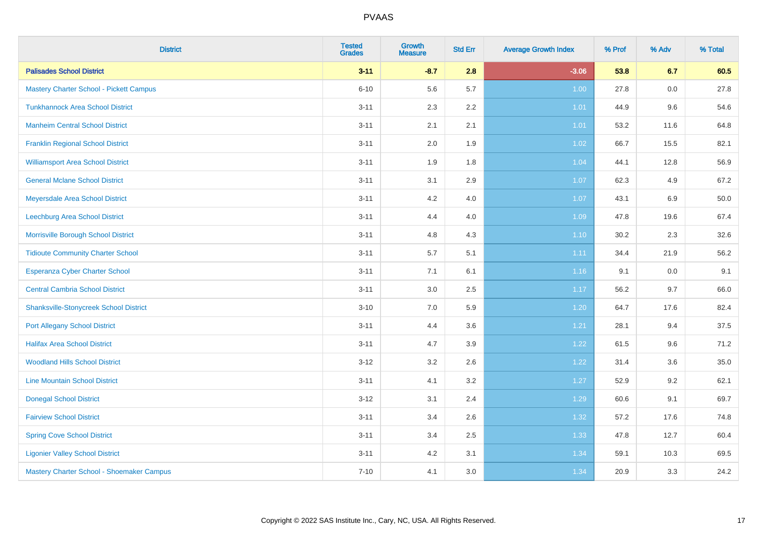| <b>District</b>                                | <b>Tested</b><br><b>Grades</b> | <b>Growth</b><br><b>Measure</b> | <b>Std Err</b> | <b>Average Growth Index</b> | % Prof | % Adv | % Total |
|------------------------------------------------|--------------------------------|---------------------------------|----------------|-----------------------------|--------|-------|---------|
| <b>Palisades School District</b>               | $3 - 11$                       | $-8.7$                          | 2.8            | $-3.06$                     | 53.8   | 6.7   | 60.5    |
| <b>Mastery Charter School - Pickett Campus</b> | $6 - 10$                       | 5.6                             | 5.7            | 1.00                        | 27.8   | 0.0   | 27.8    |
| <b>Tunkhannock Area School District</b>        | $3 - 11$                       | 2.3                             | 2.2            | 1.01                        | 44.9   | 9.6   | 54.6    |
| <b>Manheim Central School District</b>         | $3 - 11$                       | 2.1                             | 2.1            | 1.01                        | 53.2   | 11.6  | 64.8    |
| <b>Franklin Regional School District</b>       | $3 - 11$                       | 2.0                             | 1.9            | 1.02                        | 66.7   | 15.5  | 82.1    |
| <b>Williamsport Area School District</b>       | $3 - 11$                       | 1.9                             | 1.8            | 1.04                        | 44.1   | 12.8  | 56.9    |
| <b>General Mclane School District</b>          | $3 - 11$                       | 3.1                             | 2.9            | 1.07                        | 62.3   | 4.9   | 67.2    |
| Meyersdale Area School District                | $3 - 11$                       | 4.2                             | 4.0            | 1.07                        | 43.1   | 6.9   | 50.0    |
| Leechburg Area School District                 | $3 - 11$                       | 4.4                             | 4.0            | 1.09                        | 47.8   | 19.6  | 67.4    |
| Morrisville Borough School District            | $3 - 11$                       | 4.8                             | 4.3            | 1.10                        | 30.2   | 2.3   | 32.6    |
| <b>Tidioute Community Charter School</b>       | $3 - 11$                       | 5.7                             | 5.1            | 1.11                        | 34.4   | 21.9  | 56.2    |
| Esperanza Cyber Charter School                 | $3 - 11$                       | 7.1                             | 6.1            | 1.16                        | 9.1    | 0.0   | 9.1     |
| <b>Central Cambria School District</b>         | $3 - 11$                       | $3.0\,$                         | 2.5            | 1.17                        | 56.2   | 9.7   | 66.0    |
| <b>Shanksville-Stonycreek School District</b>  | $3 - 10$                       | 7.0                             | 5.9            | 1.20                        | 64.7   | 17.6  | 82.4    |
| <b>Port Allegany School District</b>           | $3 - 11$                       | 4.4                             | 3.6            | 1.21                        | 28.1   | 9.4   | 37.5    |
| <b>Halifax Area School District</b>            | $3 - 11$                       | 4.7                             | 3.9            | 1.22                        | 61.5   | 9.6   | 71.2    |
| <b>Woodland Hills School District</b>          | $3 - 12$                       | 3.2                             | 2.6            | 1.22                        | 31.4   | 3.6   | 35.0    |
| <b>Line Mountain School District</b>           | $3 - 11$                       | 4.1                             | 3.2            | 1.27                        | 52.9   | 9.2   | 62.1    |
| <b>Donegal School District</b>                 | $3 - 12$                       | 3.1                             | 2.4            | 1.29                        | 60.6   | 9.1   | 69.7    |
| <b>Fairview School District</b>                | $3 - 11$                       | 3.4                             | 2.6            | 1.32                        | 57.2   | 17.6  | 74.8    |
| <b>Spring Cove School District</b>             | $3 - 11$                       | 3.4                             | 2.5            | 1.33                        | 47.8   | 12.7  | 60.4    |
| <b>Ligonier Valley School District</b>         | $3 - 11$                       | 4.2                             | 3.1            | 1.34                        | 59.1   | 10.3  | 69.5    |
| Mastery Charter School - Shoemaker Campus      | $7 - 10$                       | 4.1                             | 3.0            | 1.34                        | 20.9   | 3.3   | 24.2    |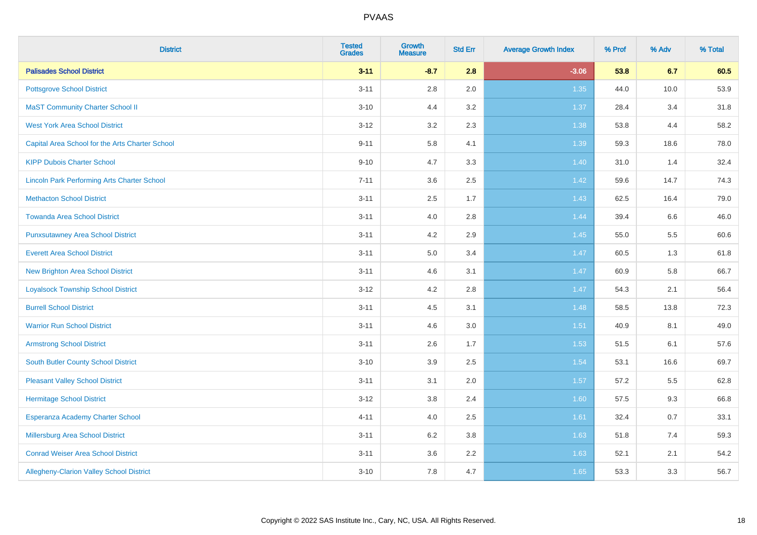| <b>District</b>                                    | <b>Tested</b><br><b>Grades</b> | <b>Growth</b><br><b>Measure</b> | <b>Std Err</b> | <b>Average Growth Index</b> | % Prof | % Adv | % Total |
|----------------------------------------------------|--------------------------------|---------------------------------|----------------|-----------------------------|--------|-------|---------|
| <b>Palisades School District</b>                   | $3 - 11$                       | $-8.7$                          | 2.8            | $-3.06$                     | 53.8   | 6.7   | 60.5    |
| <b>Pottsgrove School District</b>                  | $3 - 11$                       | 2.8                             | 2.0            | 1.35                        | 44.0   | 10.0  | 53.9    |
| <b>MaST Community Charter School II</b>            | $3 - 10$                       | 4.4                             | 3.2            | 1.37                        | 28.4   | 3.4   | 31.8    |
| <b>West York Area School District</b>              | $3 - 12$                       | 3.2                             | 2.3            | 1.38                        | 53.8   | 4.4   | 58.2    |
| Capital Area School for the Arts Charter School    | $9 - 11$                       | 5.8                             | 4.1            | 1.39                        | 59.3   | 18.6  | 78.0    |
| <b>KIPP Dubois Charter School</b>                  | $9 - 10$                       | 4.7                             | 3.3            | 1.40                        | 31.0   | 1.4   | 32.4    |
| <b>Lincoln Park Performing Arts Charter School</b> | $7 - 11$                       | 3.6                             | 2.5            | 1.42                        | 59.6   | 14.7  | 74.3    |
| <b>Methacton School District</b>                   | $3 - 11$                       | 2.5                             | 1.7            | 1.43                        | 62.5   | 16.4  | 79.0    |
| <b>Towanda Area School District</b>                | $3 - 11$                       | 4.0                             | 2.8            | 1.44                        | 39.4   | 6.6   | 46.0    |
| <b>Punxsutawney Area School District</b>           | $3 - 11$                       | 4.2                             | 2.9            | 1.45                        | 55.0   | 5.5   | 60.6    |
| <b>Everett Area School District</b>                | $3 - 11$                       | 5.0                             | 3.4            | 1.47                        | 60.5   | 1.3   | 61.8    |
| <b>New Brighton Area School District</b>           | $3 - 11$                       | 4.6                             | 3.1            | 1.47                        | 60.9   | 5.8   | 66.7    |
| <b>Loyalsock Township School District</b>          | $3 - 12$                       | 4.2                             | 2.8            | 1.47                        | 54.3   | 2.1   | 56.4    |
| <b>Burrell School District</b>                     | $3 - 11$                       | 4.5                             | 3.1            | 1.48                        | 58.5   | 13.8  | 72.3    |
| <b>Warrior Run School District</b>                 | $3 - 11$                       | 4.6                             | 3.0            | $1.51$                      | 40.9   | 8.1   | 49.0    |
| <b>Armstrong School District</b>                   | $3 - 11$                       | 2.6                             | 1.7            | 1.53                        | 51.5   | 6.1   | 57.6    |
| <b>South Butler County School District</b>         | $3 - 10$                       | 3.9                             | 2.5            | 1.54                        | 53.1   | 16.6  | 69.7    |
| <b>Pleasant Valley School District</b>             | $3 - 11$                       | 3.1                             | 2.0            | 1.57                        | 57.2   | 5.5   | 62.8    |
| <b>Hermitage School District</b>                   | $3 - 12$                       | 3.8                             | 2.4            | 1.60                        | 57.5   | 9.3   | 66.8    |
| Esperanza Academy Charter School                   | $4 - 11$                       | 4.0                             | 2.5            | 1.61                        | 32.4   | 0.7   | 33.1    |
| <b>Millersburg Area School District</b>            | $3 - 11$                       | 6.2                             | 3.8            | 1.63                        | 51.8   | 7.4   | 59.3    |
| <b>Conrad Weiser Area School District</b>          | $3 - 11$                       | 3.6                             | 2.2            | 1.63                        | 52.1   | 2.1   | 54.2    |
| Allegheny-Clarion Valley School District           | $3 - 10$                       | 7.8                             | 4.7            | 1.65                        | 53.3   | 3.3   | 56.7    |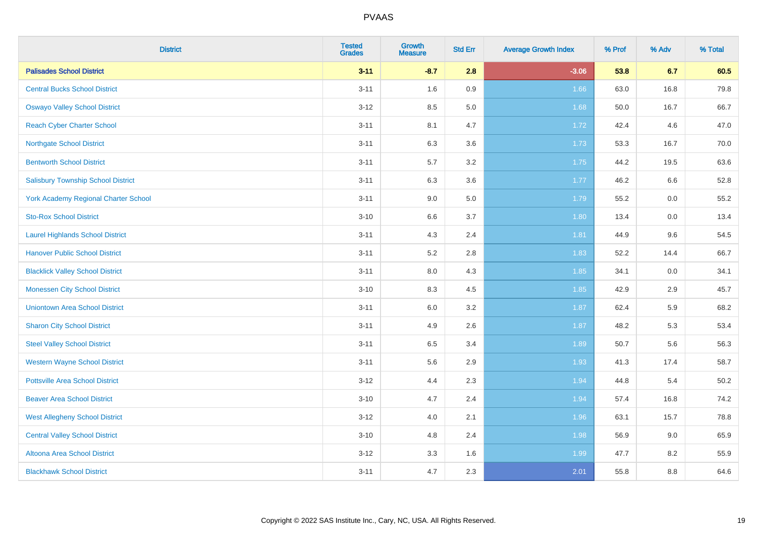| <b>District</b>                             | <b>Tested</b><br><b>Grades</b> | <b>Growth</b><br><b>Measure</b> | <b>Std Err</b> | <b>Average Growth Index</b> | % Prof | % Adv | % Total |
|---------------------------------------------|--------------------------------|---------------------------------|----------------|-----------------------------|--------|-------|---------|
| <b>Palisades School District</b>            | $3 - 11$                       | $-8.7$                          | 2.8            | $-3.06$                     | 53.8   | 6.7   | 60.5    |
| <b>Central Bucks School District</b>        | $3 - 11$                       | 1.6                             | 0.9            | 1.66                        | 63.0   | 16.8  | 79.8    |
| <b>Oswayo Valley School District</b>        | $3 - 12$                       | 8.5                             | 5.0            | 1.68                        | 50.0   | 16.7  | 66.7    |
| <b>Reach Cyber Charter School</b>           | $3 - 11$                       | 8.1                             | 4.7            | 1.72                        | 42.4   | 4.6   | 47.0    |
| <b>Northgate School District</b>            | $3 - 11$                       | 6.3                             | 3.6            | 1.73                        | 53.3   | 16.7  | 70.0    |
| <b>Bentworth School District</b>            | $3 - 11$                       | 5.7                             | 3.2            | 1.75                        | 44.2   | 19.5  | 63.6    |
| <b>Salisbury Township School District</b>   | $3 - 11$                       | 6.3                             | 3.6            | 1.77                        | 46.2   | 6.6   | 52.8    |
| <b>York Academy Regional Charter School</b> | $3 - 11$                       | 9.0                             | 5.0            | 1.79                        | 55.2   | 0.0   | 55.2    |
| <b>Sto-Rox School District</b>              | $3 - 10$                       | 6.6                             | 3.7            | 1.80                        | 13.4   | 0.0   | 13.4    |
| <b>Laurel Highlands School District</b>     | $3 - 11$                       | 4.3                             | 2.4            | 1.81                        | 44.9   | 9.6   | 54.5    |
| <b>Hanover Public School District</b>       | $3 - 11$                       | 5.2                             | 2.8            | 1.83                        | 52.2   | 14.4  | 66.7    |
| <b>Blacklick Valley School District</b>     | $3 - 11$                       | $8.0\,$                         | 4.3            | 1.85                        | 34.1   | 0.0   | 34.1    |
| <b>Monessen City School District</b>        | $3 - 10$                       | 8.3                             | 4.5            | 1.85                        | 42.9   | 2.9   | 45.7    |
| <b>Uniontown Area School District</b>       | $3 - 11$                       | $6.0\,$                         | 3.2            | 1.87                        | 62.4   | 5.9   | 68.2    |
| <b>Sharon City School District</b>          | $3 - 11$                       | 4.9                             | 2.6            | 1.87                        | 48.2   | 5.3   | 53.4    |
| <b>Steel Valley School District</b>         | $3 - 11$                       | 6.5                             | 3.4            | 1.89                        | 50.7   | 5.6   | 56.3    |
| <b>Western Wayne School District</b>        | $3 - 11$                       | 5.6                             | 2.9            | 1.93                        | 41.3   | 17.4  | 58.7    |
| <b>Pottsville Area School District</b>      | $3 - 12$                       | 4.4                             | 2.3            | 1.94                        | 44.8   | 5.4   | 50.2    |
| <b>Beaver Area School District</b>          | $3 - 10$                       | 4.7                             | 2.4            | 1.94                        | 57.4   | 16.8  | 74.2    |
| <b>West Allegheny School District</b>       | $3 - 12$                       | 4.0                             | 2.1            | 1.96                        | 63.1   | 15.7  | 78.8    |
| <b>Central Valley School District</b>       | $3 - 10$                       | 4.8                             | 2.4            | 1.98                        | 56.9   | 9.0   | 65.9    |
| Altoona Area School District                | $3 - 12$                       | 3.3                             | 1.6            | 1.99                        | 47.7   | 8.2   | 55.9    |
| <b>Blackhawk School District</b>            | $3 - 11$                       | 4.7                             | 2.3            | 2.01                        | 55.8   | 8.8   | 64.6    |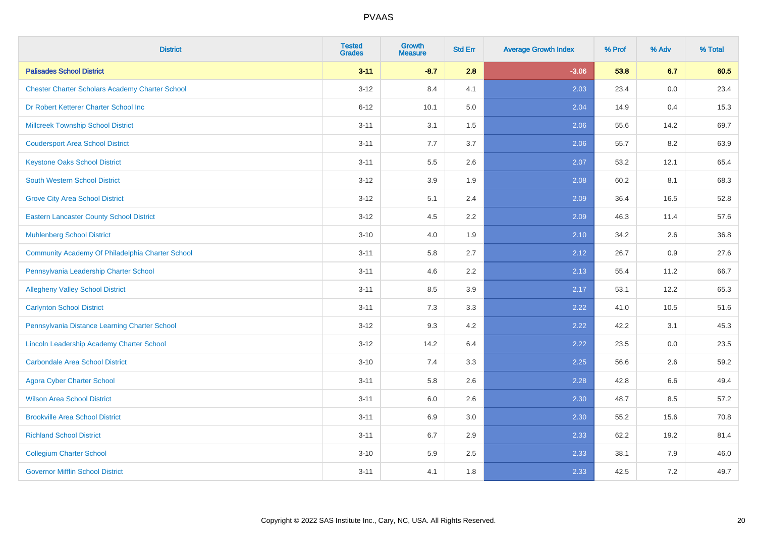| <b>District</b>                                        | <b>Tested</b><br><b>Grades</b> | <b>Growth</b><br><b>Measure</b> | <b>Std Err</b> | <b>Average Growth Index</b> | % Prof | % Adv   | % Total |
|--------------------------------------------------------|--------------------------------|---------------------------------|----------------|-----------------------------|--------|---------|---------|
| <b>Palisades School District</b>                       | $3 - 11$                       | $-8.7$                          | 2.8            | $-3.06$                     | 53.8   | 6.7     | 60.5    |
| <b>Chester Charter Scholars Academy Charter School</b> | $3 - 12$                       | 8.4                             | 4.1            | 2.03                        | 23.4   | 0.0     | 23.4    |
| Dr Robert Ketterer Charter School Inc                  | $6 - 12$                       | 10.1                            | 5.0            | 2.04                        | 14.9   | 0.4     | 15.3    |
| <b>Millcreek Township School District</b>              | $3 - 11$                       | 3.1                             | $1.5$          | 2.06                        | 55.6   | 14.2    | 69.7    |
| <b>Coudersport Area School District</b>                | $3 - 11$                       | 7.7                             | 3.7            | 2.06                        | 55.7   | 8.2     | 63.9    |
| <b>Keystone Oaks School District</b>                   | $3 - 11$                       | $5.5\,$                         | 2.6            | 2.07                        | 53.2   | 12.1    | 65.4    |
| South Western School District                          | $3 - 12$                       | 3.9                             | 1.9            | 2.08                        | 60.2   | 8.1     | 68.3    |
| <b>Grove City Area School District</b>                 | $3 - 12$                       | 5.1                             | 2.4            | 2.09                        | 36.4   | 16.5    | 52.8    |
| <b>Eastern Lancaster County School District</b>        | $3 - 12$                       | 4.5                             | 2.2            | 2.09                        | 46.3   | 11.4    | 57.6    |
| <b>Muhlenberg School District</b>                      | $3 - 10$                       | 4.0                             | 1.9            | 2.10                        | 34.2   | $2.6\,$ | 36.8    |
| Community Academy Of Philadelphia Charter School       | $3 - 11$                       | 5.8                             | 2.7            | 2.12                        | 26.7   | 0.9     | 27.6    |
| Pennsylvania Leadership Charter School                 | $3 - 11$                       | 4.6                             | 2.2            | 2.13                        | 55.4   | 11.2    | 66.7    |
| <b>Allegheny Valley School District</b>                | $3 - 11$                       | 8.5                             | 3.9            | 2.17                        | 53.1   | 12.2    | 65.3    |
| <b>Carlynton School District</b>                       | $3 - 11$                       | 7.3                             | 3.3            | 2.22                        | 41.0   | 10.5    | 51.6    |
| Pennsylvania Distance Learning Charter School          | $3 - 12$                       | 9.3                             | 4.2            | 2.22                        | 42.2   | 3.1     | 45.3    |
| Lincoln Leadership Academy Charter School              | $3 - 12$                       | 14.2                            | 6.4            | 2.22                        | 23.5   | 0.0     | 23.5    |
| <b>Carbondale Area School District</b>                 | $3 - 10$                       | 7.4                             | 3.3            | 2.25                        | 56.6   | 2.6     | 59.2    |
| <b>Agora Cyber Charter School</b>                      | $3 - 11$                       | 5.8                             | 2.6            | 2.28                        | 42.8   | 6.6     | 49.4    |
| <b>Wilson Area School District</b>                     | $3 - 11$                       | 6.0                             | 2.6            | 2.30                        | 48.7   | 8.5     | 57.2    |
| <b>Brookville Area School District</b>                 | $3 - 11$                       | 6.9                             | 3.0            | 2.30                        | 55.2   | 15.6    | 70.8    |
| <b>Richland School District</b>                        | $3 - 11$                       | 6.7                             | 2.9            | 2.33                        | 62.2   | 19.2    | 81.4    |
| <b>Collegium Charter School</b>                        | $3 - 10$                       | 5.9                             | 2.5            | 2.33                        | 38.1   | 7.9     | 46.0    |
| <b>Governor Mifflin School District</b>                | $3 - 11$                       | 4.1                             | 1.8            | 2.33                        | 42.5   | 7.2     | 49.7    |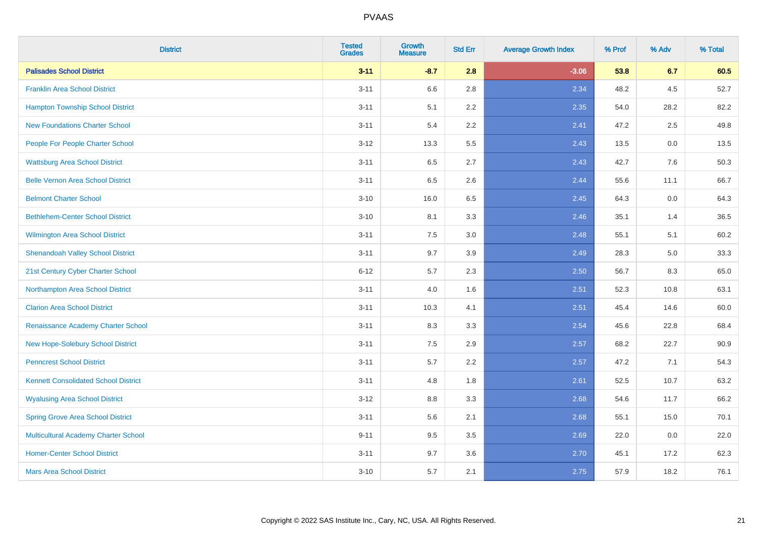| <b>District</b>                             | <b>Tested</b><br><b>Grades</b> | <b>Growth</b><br><b>Measure</b> | <b>Std Err</b> | <b>Average Growth Index</b> | % Prof | % Adv | % Total |
|---------------------------------------------|--------------------------------|---------------------------------|----------------|-----------------------------|--------|-------|---------|
| <b>Palisades School District</b>            | $3 - 11$                       | $-8.7$                          | 2.8            | $-3.06$                     | 53.8   | 6.7   | 60.5    |
| <b>Franklin Area School District</b>        | $3 - 11$                       | 6.6                             | 2.8            | 2.34                        | 48.2   | 4.5   | 52.7    |
| <b>Hampton Township School District</b>     | $3 - 11$                       | 5.1                             | 2.2            | 2.35                        | 54.0   | 28.2  | 82.2    |
| <b>New Foundations Charter School</b>       | $3 - 11$                       | 5.4                             | 2.2            | 2.41                        | 47.2   | 2.5   | 49.8    |
| People For People Charter School            | $3 - 12$                       | 13.3                            | 5.5            | 2.43                        | 13.5   | 0.0   | 13.5    |
| <b>Wattsburg Area School District</b>       | $3 - 11$                       | 6.5                             | 2.7            | 2.43                        | 42.7   | 7.6   | 50.3    |
| <b>Belle Vernon Area School District</b>    | $3 - 11$                       | 6.5                             | 2.6            | 2.44                        | 55.6   | 11.1  | 66.7    |
| <b>Belmont Charter School</b>               | $3 - 10$                       | 16.0                            | 6.5            | 2.45                        | 64.3   | 0.0   | 64.3    |
| <b>Bethlehem-Center School District</b>     | $3 - 10$                       | 8.1                             | 3.3            | 2.46                        | 35.1   | 1.4   | 36.5    |
| Wilmington Area School District             | $3 - 11$                       | 7.5                             | 3.0            | 2.48                        | 55.1   | 5.1   | 60.2    |
| <b>Shenandoah Valley School District</b>    | $3 - 11$                       | 9.7                             | 3.9            | 2.49                        | 28.3   | 5.0   | 33.3    |
| 21st Century Cyber Charter School           | $6 - 12$                       | 5.7                             | 2.3            | 2.50                        | 56.7   | 8.3   | 65.0    |
| Northampton Area School District            | $3 - 11$                       | 4.0                             | 1.6            | 2.51                        | 52.3   | 10.8  | 63.1    |
| <b>Clarion Area School District</b>         | $3 - 11$                       | 10.3                            | 4.1            | 2.51                        | 45.4   | 14.6  | 60.0    |
| Renaissance Academy Charter School          | $3 - 11$                       | 8.3                             | 3.3            | 2.54                        | 45.6   | 22.8  | 68.4    |
| New Hope-Solebury School District           | $3 - 11$                       | 7.5                             | 2.9            | 2.57                        | 68.2   | 22.7  | 90.9    |
| <b>Penncrest School District</b>            | $3 - 11$                       | 5.7                             | 2.2            | 2.57                        | 47.2   | 7.1   | 54.3    |
| <b>Kennett Consolidated School District</b> | $3 - 11$                       | 4.8                             | 1.8            | 2.61                        | 52.5   | 10.7  | 63.2    |
| <b>Wyalusing Area School District</b>       | $3 - 12$                       | 8.8                             | 3.3            | 2.68                        | 54.6   | 11.7  | 66.2    |
| <b>Spring Grove Area School District</b>    | $3 - 11$                       | 5.6                             | 2.1            | 2.68                        | 55.1   | 15.0  | 70.1    |
| <b>Multicultural Academy Charter School</b> | $9 - 11$                       | 9.5                             | 3.5            | 2.69                        | 22.0   | 0.0   | 22.0    |
| <b>Homer-Center School District</b>         | $3 - 11$                       | 9.7                             | 3.6            | 2.70                        | 45.1   | 17.2  | 62.3    |
| <b>Mars Area School District</b>            | $3 - 10$                       | 5.7                             | 2.1            | 2.75                        | 57.9   | 18.2  | 76.1    |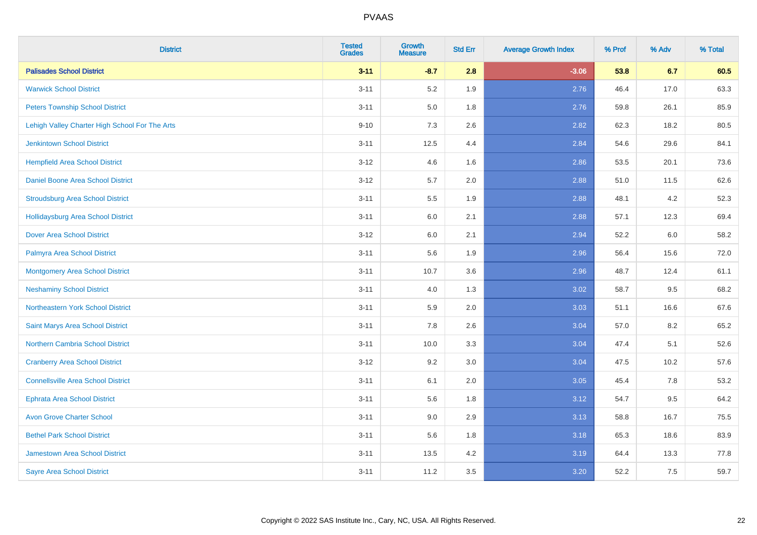| <b>District</b>                                | <b>Tested</b><br><b>Grades</b> | <b>Growth</b><br><b>Measure</b> | <b>Std Err</b> | <b>Average Growth Index</b> | % Prof | % Adv | % Total |
|------------------------------------------------|--------------------------------|---------------------------------|----------------|-----------------------------|--------|-------|---------|
| <b>Palisades School District</b>               | $3 - 11$                       | $-8.7$                          | 2.8            | $-3.06$                     | 53.8   | 6.7   | 60.5    |
| <b>Warwick School District</b>                 | $3 - 11$                       | 5.2                             | 1.9            | 2.76                        | 46.4   | 17.0  | 63.3    |
| <b>Peters Township School District</b>         | $3 - 11$                       | 5.0                             | 1.8            | 2.76                        | 59.8   | 26.1  | 85.9    |
| Lehigh Valley Charter High School For The Arts | $9 - 10$                       | 7.3                             | 2.6            | 2.82                        | 62.3   | 18.2  | 80.5    |
| <b>Jenkintown School District</b>              | $3 - 11$                       | 12.5                            | 4.4            | 2.84                        | 54.6   | 29.6  | 84.1    |
| <b>Hempfield Area School District</b>          | $3 - 12$                       | 4.6                             | 1.6            | 2.86                        | 53.5   | 20.1  | 73.6    |
| Daniel Boone Area School District              | $3 - 12$                       | 5.7                             | 2.0            | 2.88                        | 51.0   | 11.5  | 62.6    |
| <b>Stroudsburg Area School District</b>        | $3 - 11$                       | 5.5                             | 1.9            | 2.88                        | 48.1   | 4.2   | 52.3    |
| <b>Hollidaysburg Area School District</b>      | $3 - 11$                       | 6.0                             | 2.1            | 2.88                        | 57.1   | 12.3  | 69.4    |
| <b>Dover Area School District</b>              | $3-12$                         | 6.0                             | 2.1            | 2.94                        | 52.2   | 6.0   | 58.2    |
| Palmyra Area School District                   | $3 - 11$                       | 5.6                             | 1.9            | 2.96                        | 56.4   | 15.6  | 72.0    |
| <b>Montgomery Area School District</b>         | $3 - 11$                       | 10.7                            | 3.6            | 2.96                        | 48.7   | 12.4  | 61.1    |
| <b>Neshaminy School District</b>               | $3 - 11$                       | 4.0                             | 1.3            | 3.02                        | 58.7   | 9.5   | 68.2    |
| Northeastern York School District              | $3 - 11$                       | 5.9                             | 2.0            | 3.03                        | 51.1   | 16.6  | 67.6    |
| Saint Marys Area School District               | $3 - 11$                       | 7.8                             | 2.6            | 3.04                        | 57.0   | 8.2   | 65.2    |
| <b>Northern Cambria School District</b>        | $3 - 11$                       | 10.0                            | 3.3            | 3.04                        | 47.4   | 5.1   | 52.6    |
| <b>Cranberry Area School District</b>          | $3-12$                         | 9.2                             | 3.0            | 3.04                        | 47.5   | 10.2  | 57.6    |
| <b>Connellsville Area School District</b>      | $3 - 11$                       | 6.1                             | 2.0            | 3.05                        | 45.4   | 7.8   | 53.2    |
| <b>Ephrata Area School District</b>            | $3 - 11$                       | 5.6                             | 1.8            | 3.12                        | 54.7   | 9.5   | 64.2    |
| <b>Avon Grove Charter School</b>               | $3 - 11$                       | 9.0                             | 2.9            | 3.13                        | 58.8   | 16.7  | 75.5    |
| <b>Bethel Park School District</b>             | $3 - 11$                       | 5.6                             | 1.8            | 3.18                        | 65.3   | 18.6  | 83.9    |
| <b>Jamestown Area School District</b>          | $3 - 11$                       | 13.5                            | 4.2            | 3.19                        | 64.4   | 13.3  | 77.8    |
| <b>Sayre Area School District</b>              | $3 - 11$                       | 11.2                            | 3.5            | 3.20                        | 52.2   | 7.5   | 59.7    |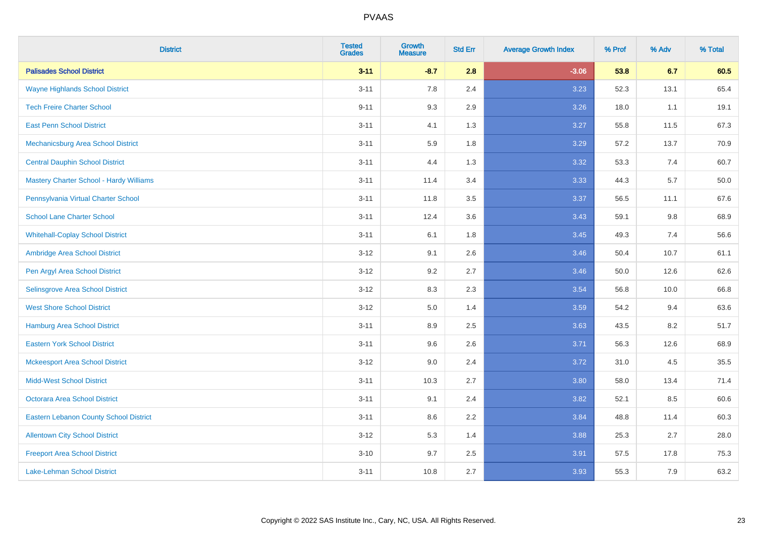| <b>District</b>                                | <b>Tested</b><br><b>Grades</b> | <b>Growth</b><br><b>Measure</b> | <b>Std Err</b> | <b>Average Growth Index</b> | % Prof | % Adv | % Total |
|------------------------------------------------|--------------------------------|---------------------------------|----------------|-----------------------------|--------|-------|---------|
| <b>Palisades School District</b>               | $3 - 11$                       | $-8.7$                          | 2.8            | $-3.06$                     | 53.8   | 6.7   | 60.5    |
| <b>Wayne Highlands School District</b>         | $3 - 11$                       | 7.8                             | 2.4            | 3.23                        | 52.3   | 13.1  | 65.4    |
| <b>Tech Freire Charter School</b>              | $9 - 11$                       | 9.3                             | 2.9            | 3.26                        | 18.0   | 1.1   | 19.1    |
| <b>East Penn School District</b>               | $3 - 11$                       | 4.1                             | 1.3            | 3.27                        | 55.8   | 11.5  | 67.3    |
| Mechanicsburg Area School District             | $3 - 11$                       | 5.9                             | 1.8            | 3.29                        | 57.2   | 13.7  | 70.9    |
| <b>Central Dauphin School District</b>         | $3 - 11$                       | 4.4                             | 1.3            | 3.32                        | 53.3   | 7.4   | 60.7    |
| <b>Mastery Charter School - Hardy Williams</b> | $3 - 11$                       | 11.4                            | 3.4            | 3.33                        | 44.3   | 5.7   | 50.0    |
| Pennsylvania Virtual Charter School            | $3 - 11$                       | 11.8                            | 3.5            | 3.37                        | 56.5   | 11.1  | 67.6    |
| <b>School Lane Charter School</b>              | $3 - 11$                       | 12.4                            | 3.6            | 3.43                        | 59.1   | 9.8   | 68.9    |
| <b>Whitehall-Coplay School District</b>        | $3 - 11$                       | 6.1                             | 1.8            | 3.45                        | 49.3   | 7.4   | 56.6    |
| Ambridge Area School District                  | $3 - 12$                       | 9.1                             | 2.6            | 3.46                        | 50.4   | 10.7  | 61.1    |
| Pen Argyl Area School District                 | $3 - 12$                       | 9.2                             | 2.7            | 3.46                        | 50.0   | 12.6  | 62.6    |
| Selinsgrove Area School District               | $3 - 12$                       | 8.3                             | 2.3            | 3.54                        | 56.8   | 10.0  | 66.8    |
| <b>West Shore School District</b>              | $3 - 12$                       | $5.0\,$                         | 1.4            | 3.59                        | 54.2   | 9.4   | 63.6    |
| <b>Hamburg Area School District</b>            | $3 - 11$                       | 8.9                             | 2.5            | 3.63                        | 43.5   | 8.2   | 51.7    |
| <b>Eastern York School District</b>            | $3 - 11$                       | 9.6                             | 2.6            | 3.71                        | 56.3   | 12.6  | 68.9    |
| <b>Mckeesport Area School District</b>         | $3 - 12$                       | 9.0                             | 2.4            | 3.72                        | 31.0   | 4.5   | 35.5    |
| <b>Midd-West School District</b>               | $3 - 11$                       | 10.3                            | 2.7            | 3.80                        | 58.0   | 13.4  | 71.4    |
| <b>Octorara Area School District</b>           | $3 - 11$                       | 9.1                             | 2.4            | 3.82                        | 52.1   | 8.5   | 60.6    |
| <b>Eastern Lebanon County School District</b>  | $3 - 11$                       | 8.6                             | 2.2            | 3.84                        | 48.8   | 11.4  | 60.3    |
| <b>Allentown City School District</b>          | $3-12$                         | $5.3\,$                         | 1.4            | 3.88                        | 25.3   | 2.7   | 28.0    |
| <b>Freeport Area School District</b>           | $3 - 10$                       | 9.7                             | 2.5            | 3.91                        | 57.5   | 17.8  | 75.3    |
| Lake-Lehman School District                    | $3 - 11$                       | 10.8                            | 2.7            | 3.93                        | 55.3   | 7.9   | 63.2    |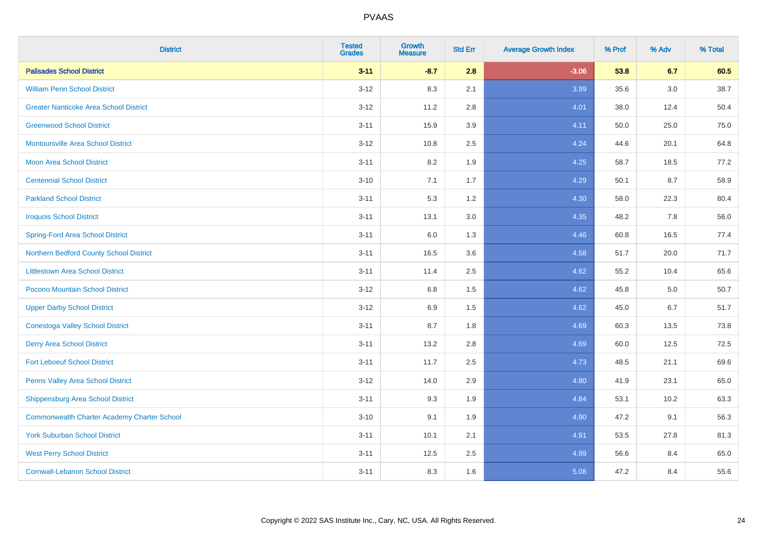| <b>District</b>                                    | <b>Tested</b><br><b>Grades</b> | <b>Growth</b><br><b>Measure</b> | <b>Std Err</b> | <b>Average Growth Index</b> | % Prof | % Adv | % Total |
|----------------------------------------------------|--------------------------------|---------------------------------|----------------|-----------------------------|--------|-------|---------|
| <b>Palisades School District</b>                   | $3 - 11$                       | $-8.7$                          | 2.8            | $-3.06$                     | 53.8   | 6.7   | 60.5    |
| <b>William Penn School District</b>                | $3 - 12$                       | 8.3                             | 2.1            | 3.99                        | 35.6   | 3.0   | 38.7    |
| <b>Greater Nanticoke Area School District</b>      | $3 - 12$                       | 11.2                            | 2.8            | 4.01                        | 38.0   | 12.4  | 50.4    |
| <b>Greenwood School District</b>                   | $3 - 11$                       | 15.9                            | 3.9            | 4.11                        | 50.0   | 25.0  | 75.0    |
| <b>Montoursville Area School District</b>          | $3 - 12$                       | 10.8                            | 2.5            | 4.24                        | 44.6   | 20.1  | 64.8    |
| Moon Area School District                          | $3 - 11$                       | 8.2                             | 1.9            | 4.25                        | 58.7   | 18.5  | 77.2    |
| <b>Centennial School District</b>                  | $3 - 10$                       | 7.1                             | 1.7            | 4.29                        | 50.1   | 8.7   | 58.9    |
| <b>Parkland School District</b>                    | $3 - 11$                       | 5.3                             | 1.2            | 4.30                        | 58.0   | 22.3  | 80.4    |
| <b>Iroquois School District</b>                    | $3 - 11$                       | 13.1                            | 3.0            | 4.35                        | 48.2   | 7.8   | 56.0    |
| <b>Spring-Ford Area School District</b>            | $3 - 11$                       | 6.0                             | 1.3            | 4.46                        | 60.8   | 16.5  | 77.4    |
| Northern Bedford County School District            | $3 - 11$                       | 16.5                            | 3.6            | 4.58                        | 51.7   | 20.0  | 71.7    |
| <b>Littlestown Area School District</b>            | $3 - 11$                       | 11.4                            | 2.5            | 4.62                        | 55.2   | 10.4  | 65.6    |
| Pocono Mountain School District                    | $3 - 12$                       | $6.8\,$                         | 1.5            | 4.62                        | 45.8   | 5.0   | 50.7    |
| <b>Upper Darby School District</b>                 | $3 - 12$                       | 6.9                             | 1.5            | 4.62                        | 45.0   | 6.7   | 51.7    |
| <b>Conestoga Valley School District</b>            | $3 - 11$                       | 8.7                             | 1.8            | 4.69                        | 60.3   | 13.5  | 73.8    |
| <b>Derry Area School District</b>                  | $3 - 11$                       | 13.2                            | 2.8            | 4.69                        | 60.0   | 12.5  | 72.5    |
| <b>Fort Leboeuf School District</b>                | $3 - 11$                       | 11.7                            | 2.5            | 4.73                        | 48.5   | 21.1  | 69.6    |
| Penns Valley Area School District                  | $3 - 12$                       | 14.0                            | 2.9            | 4.80                        | 41.9   | 23.1  | 65.0    |
| <b>Shippensburg Area School District</b>           | $3 - 11$                       | 9.3                             | 1.9            | 4.84                        | 53.1   | 10.2  | 63.3    |
| <b>Commonwealth Charter Academy Charter School</b> | $3 - 10$                       | 9.1                             | 1.9            | 4.90                        | 47.2   | 9.1   | 56.3    |
| <b>York Suburban School District</b>               | $3 - 11$                       | 10.1                            | 2.1            | 4.91                        | 53.5   | 27.8  | 81.3    |
| <b>West Perry School District</b>                  | $3 - 11$                       | 12.5                            | 2.5            | 4.99                        | 56.6   | 8.4   | 65.0    |
| <b>Cornwall-Lebanon School District</b>            | $3 - 11$                       | 8.3                             | 1.6            | 5.08                        | 47.2   | 8.4   | 55.6    |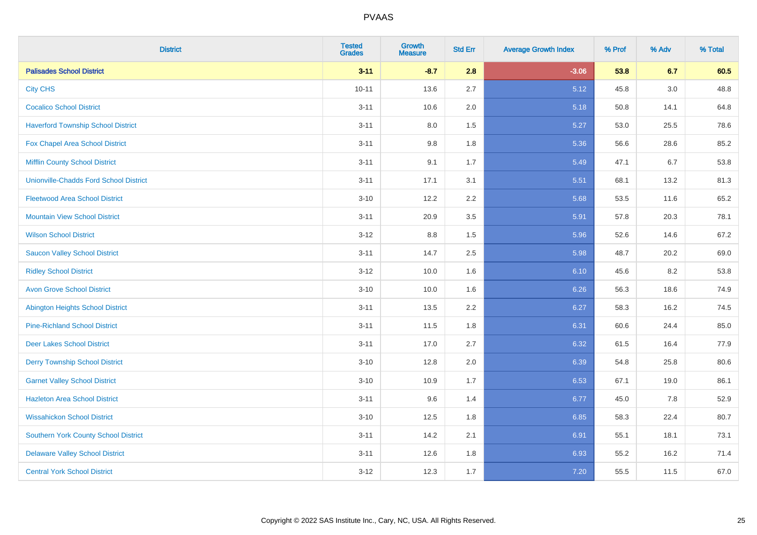| <b>District</b>                               | <b>Tested</b><br><b>Grades</b> | <b>Growth</b><br><b>Measure</b> | <b>Std Err</b> | <b>Average Growth Index</b> | % Prof | % Adv | % Total |
|-----------------------------------------------|--------------------------------|---------------------------------|----------------|-----------------------------|--------|-------|---------|
| <b>Palisades School District</b>              | $3 - 11$                       | $-8.7$                          | 2.8            | $-3.06$                     | 53.8   | 6.7   | 60.5    |
| <b>City CHS</b>                               | $10 - 11$                      | 13.6                            | 2.7            | 5.12                        | 45.8   | 3.0   | 48.8    |
| <b>Cocalico School District</b>               | $3 - 11$                       | 10.6                            | 2.0            | 5.18                        | 50.8   | 14.1  | 64.8    |
| <b>Haverford Township School District</b>     | $3 - 11$                       | $8.0\,$                         | 1.5            | 5.27                        | 53.0   | 25.5  | 78.6    |
| Fox Chapel Area School District               | $3 - 11$                       | 9.8                             | 1.8            | 5.36                        | 56.6   | 28.6  | 85.2    |
| <b>Mifflin County School District</b>         | $3 - 11$                       | 9.1                             | 1.7            | 5.49                        | 47.1   | 6.7   | 53.8    |
| <b>Unionville-Chadds Ford School District</b> | $3 - 11$                       | 17.1                            | 3.1            | 5.51                        | 68.1   | 13.2  | 81.3    |
| <b>Fleetwood Area School District</b>         | $3 - 10$                       | 12.2                            | 2.2            | 5.68                        | 53.5   | 11.6  | 65.2    |
| <b>Mountain View School District</b>          | $3 - 11$                       | 20.9                            | 3.5            | 5.91                        | 57.8   | 20.3  | 78.1    |
| <b>Wilson School District</b>                 | $3-12$                         | $8.8\,$                         | 1.5            | 5.96                        | 52.6   | 14.6  | 67.2    |
| <b>Saucon Valley School District</b>          | $3 - 11$                       | 14.7                            | 2.5            | 5.98                        | 48.7   | 20.2  | 69.0    |
| <b>Ridley School District</b>                 | $3 - 12$                       | 10.0                            | 1.6            | 6.10                        | 45.6   | 8.2   | 53.8    |
| <b>Avon Grove School District</b>             | $3 - 10$                       | 10.0                            | 1.6            | 6.26                        | 56.3   | 18.6  | 74.9    |
| <b>Abington Heights School District</b>       | $3 - 11$                       | 13.5                            | 2.2            | 6.27                        | 58.3   | 16.2  | 74.5    |
| <b>Pine-Richland School District</b>          | $3 - 11$                       | 11.5                            | 1.8            | 6.31                        | 60.6   | 24.4  | 85.0    |
| <b>Deer Lakes School District</b>             | $3 - 11$                       | 17.0                            | 2.7            | 6.32                        | 61.5   | 16.4  | 77.9    |
| <b>Derry Township School District</b>         | $3 - 10$                       | 12.8                            | 2.0            | 6.39                        | 54.8   | 25.8  | 80.6    |
| <b>Garnet Valley School District</b>          | $3 - 10$                       | 10.9                            | 1.7            | 6.53                        | 67.1   | 19.0  | 86.1    |
| <b>Hazleton Area School District</b>          | $3 - 11$                       | 9.6                             | 1.4            | 6.77                        | 45.0   | 7.8   | 52.9    |
| <b>Wissahickon School District</b>            | $3 - 10$                       | 12.5                            | 1.8            | 6.85                        | 58.3   | 22.4  | 80.7    |
| <b>Southern York County School District</b>   | $3 - 11$                       | 14.2                            | 2.1            | 6.91                        | 55.1   | 18.1  | 73.1    |
| <b>Delaware Valley School District</b>        | $3 - 11$                       | 12.6                            | 1.8            | 6.93                        | 55.2   | 16.2  | 71.4    |
| <b>Central York School District</b>           | $3-12$                         | 12.3                            | 1.7            | 7.20                        | 55.5   | 11.5  | 67.0    |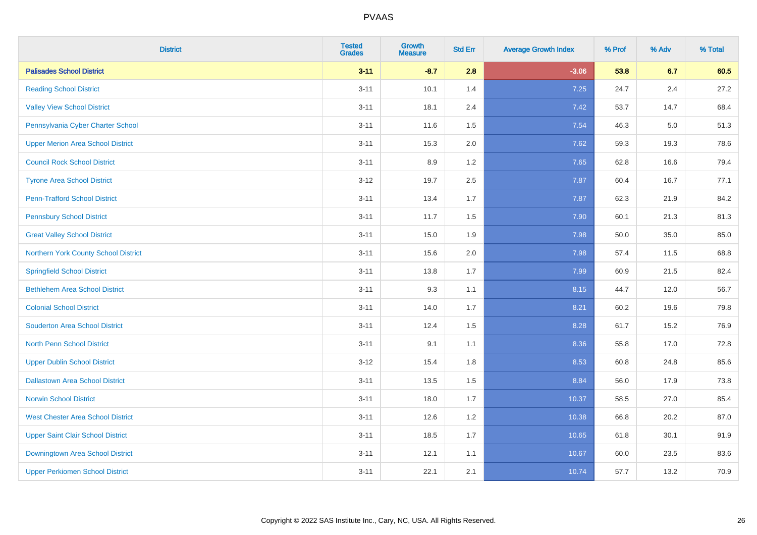| <b>District</b>                          | <b>Tested</b><br><b>Grades</b> | <b>Growth</b><br><b>Measure</b> | <b>Std Err</b> | <b>Average Growth Index</b> | % Prof | % Adv | % Total |
|------------------------------------------|--------------------------------|---------------------------------|----------------|-----------------------------|--------|-------|---------|
| <b>Palisades School District</b>         | $3 - 11$                       | $-8.7$                          | 2.8            | $-3.06$                     | 53.8   | 6.7   | 60.5    |
| <b>Reading School District</b>           | $3 - 11$                       | 10.1                            | 1.4            | 7.25                        | 24.7   | 2.4   | 27.2    |
| <b>Valley View School District</b>       | $3 - 11$                       | 18.1                            | 2.4            | 7.42                        | 53.7   | 14.7  | 68.4    |
| Pennsylvania Cyber Charter School        | $3 - 11$                       | 11.6                            | 1.5            | 7.54                        | 46.3   | 5.0   | 51.3    |
| <b>Upper Merion Area School District</b> | $3 - 11$                       | 15.3                            | 2.0            | 7.62                        | 59.3   | 19.3  | 78.6    |
| <b>Council Rock School District</b>      | $3 - 11$                       | 8.9                             | 1.2            | 7.65                        | 62.8   | 16.6  | 79.4    |
| <b>Tyrone Area School District</b>       | $3 - 12$                       | 19.7                            | 2.5            | 7.87                        | 60.4   | 16.7  | 77.1    |
| <b>Penn-Trafford School District</b>     | $3 - 11$                       | 13.4                            | 1.7            | 7.87                        | 62.3   | 21.9  | 84.2    |
| <b>Pennsbury School District</b>         | $3 - 11$                       | 11.7                            | 1.5            | 7.90                        | 60.1   | 21.3  | 81.3    |
| <b>Great Valley School District</b>      | $3 - 11$                       | 15.0                            | 1.9            | 7.98                        | 50.0   | 35.0  | 85.0    |
| Northern York County School District     | $3 - 11$                       | 15.6                            | 2.0            | 7.98                        | 57.4   | 11.5  | 68.8    |
| <b>Springfield School District</b>       | $3 - 11$                       | 13.8                            | 1.7            | 7.99                        | 60.9   | 21.5  | 82.4    |
| <b>Bethlehem Area School District</b>    | $3 - 11$                       | 9.3                             | 1.1            | 8.15                        | 44.7   | 12.0  | 56.7    |
| <b>Colonial School District</b>          | $3 - 11$                       | 14.0                            | 1.7            | 8.21                        | 60.2   | 19.6  | 79.8    |
| <b>Souderton Area School District</b>    | $3 - 11$                       | 12.4                            | 1.5            | 8.28                        | 61.7   | 15.2  | 76.9    |
| <b>North Penn School District</b>        | $3 - 11$                       | 9.1                             | 1.1            | 8.36                        | 55.8   | 17.0  | 72.8    |
| <b>Upper Dublin School District</b>      | $3 - 12$                       | 15.4                            | 1.8            | 8.53                        | 60.8   | 24.8  | 85.6    |
| <b>Dallastown Area School District</b>   | $3 - 11$                       | 13.5                            | 1.5            | 8.84                        | 56.0   | 17.9  | 73.8    |
| <b>Norwin School District</b>            | $3 - 11$                       | 18.0                            | 1.7            | 10.37                       | 58.5   | 27.0  | 85.4    |
| <b>West Chester Area School District</b> | $3 - 11$                       | 12.6                            | 1.2            | 10.38                       | 66.8   | 20.2  | 87.0    |
| <b>Upper Saint Clair School District</b> | $3 - 11$                       | 18.5                            | 1.7            | 10.65                       | 61.8   | 30.1  | 91.9    |
| Downingtown Area School District         | $3 - 11$                       | 12.1                            | 1.1            | 10.67                       | 60.0   | 23.5  | 83.6    |
| <b>Upper Perkiomen School District</b>   | $3 - 11$                       | 22.1                            | 2.1            | 10.74                       | 57.7   | 13.2  | 70.9    |